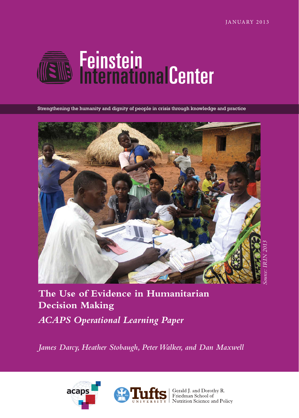

Strengthening the humanity and dignity of people in crisis through knowledge and practice



**The Use of Evidence in Humanitarian Decision Making** *ACAPS Operational Learning Paper*

*James Darcy, Heather Stobaugh, Peter Walker, and Dan Maxwell*





 $\sum_{\text{Y}} \left| \begin{array}{l}\n\text{Gerald J. and Dorothy R.} \\
\text{Friedman School of} \\
\text{Nutrition Science and Policy}\n\end{array}\right|$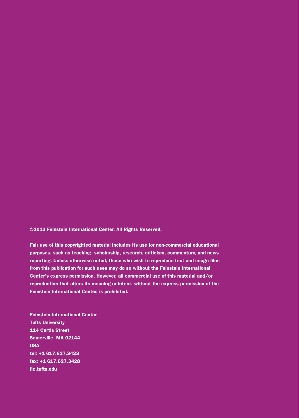©2013 Feinstein International Center. All Rights Reserved.

Fair use of this copyrighted material includes its use for non-commercial educational purposes, such as teaching, scholarship, research, criticism, commentary, and news reporting. Unless otherwise noted, those who wish to reproduce text and image files from this publication for such uses may do so without the Feinstein International Center's express permission. However, all commercial use of this material and/or reproduction that alters its meaning or intent, without the express permission of the Feinstein International Center, is prohibited.

Feinstein International Center Tufts University 114 Curtis Street Somerville, MA 02144 USA tel: +1 617.627.3423 fax: +1 617.627.3428 [fic.tufts.edu](http://sites.tufts.edu/feinstein/)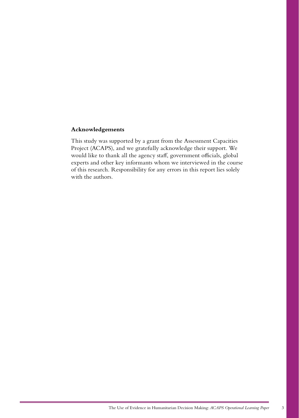## **Acknowledgements**

This study was supported by a grant from the Assessment Capacities Project (ACAPS), and we gratefully acknowledge their support. We would like to thank all the agency staff, government officials, global experts and other key informants whom we interviewed in the course of this research. Responsibility for any errors in this report lies solely with the authors.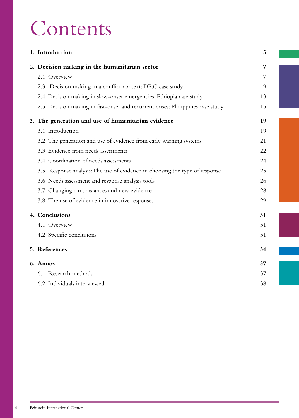# Contents

| 1. Introduction                                                                |    |  |
|--------------------------------------------------------------------------------|----|--|
| 2. Decision making in the humanitarian sector                                  | 7  |  |
| 2.1 Overview                                                                   | 7  |  |
| 2.3 Decision making in a conflict context: DRC case study                      | 9  |  |
| 2.4 Decision making in slow-onset emergencies: Ethiopia case study             | 13 |  |
| 2.5 Decision making in fast-onset and recurrent crises: Philippines case study | 15 |  |
| 3. The generation and use of humanitarian evidence                             | 19 |  |
| 3.1 Introduction                                                               | 19 |  |
| 3.2 The generation and use of evidence from early warning systems              | 21 |  |
| 3.3 Evidence from needs assessments                                            | 22 |  |
| 3.4 Coordination of needs assessments                                          | 24 |  |
| 3.5 Response analysis: The use of evidence in choosing the type of response    | 25 |  |
| 3.6 Needs assessment and response analysis tools                               | 26 |  |
| 3.7 Changing circumstances and new evidence                                    | 28 |  |
| 3.8 The use of evidence in innovative responses                                | 29 |  |
| 4. Conclusions                                                                 | 31 |  |
| 4.1 Overview                                                                   | 31 |  |
| 4.2 Specific conclusions                                                       | 31 |  |
| 5. References                                                                  | 34 |  |
| 6. Annex                                                                       | 37 |  |
| 6.1 Research methods                                                           | 37 |  |
| 6.2 Individuals interviewed                                                    | 38 |  |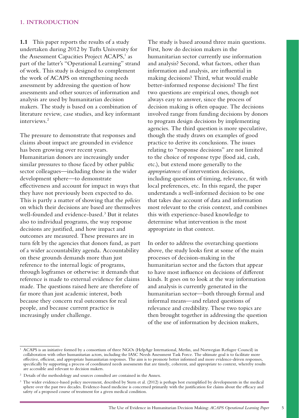<span id="page-4-0"></span>**1.1** This paper reports the results of a study undertaken during 2012 by Tufts University for the Assessment Capacities Project ACAPS,<sup>1</sup> as part of the latter's "Operational Learning" strand of work. This study is designed to complement the work of ACAPS on strengthening needs assessment by addressing the question of how assessments and other sources of information and analysis are used by humanitarian decision makers. The study is based on a combination of literature review, case studies, and key informant interviews.2

The pressure to demonstrate that responses and claims about impact are grounded in evidence has been growing over recent years. Humanitarian donors are increasingly under similar pressures to those faced by other public sector colleagues—including those in the wider development sphere—to demonstrate effectiveness and account for impact in ways that they have not previously been expected to do. This is partly a matter of showing that the *policies* on which their decisions are based are themselves well-founded and evidence-based.3 But it relates also to individual programs, the way response decisions are justified, and how impact and outcomes are measured. These pressures are in turn felt by the agencies that donors fund, as part of a wider accountability agenda. Accountability on these grounds demands more than just reference to the internal logic of programs, through logframes or otherwise: it demands that reference is made to external evidence for claims made. The questions raised here are therefore of far more than just academic interest, both because they concern real outcomes for real people, and because current practice is increasingly under challenge.

The study is based around three main questions. First, how do decision makers in the humanitarian sector currently use information and analysis? Second, what factors, other than information and analysis, are influential in making decisions? Third, what would enable better-informed response decisions? The first two questions are empirical ones, though not always easy to answer, since the process of decision making is often opaque. The decisions involved range from funding decisions by donors to program design decisions by implementing agencies. The third question is more speculative, though the study draws on examples of good practice to derive its conclusions. The issues relating to "response decisions" are not limited to the choice of response type (food aid, cash, etc.), but extend more generally to the *appropriateness* of intervention decisions, including questions of timing, relevance, fit with local preferences, etc. In this regard, the paper understands a well-informed decision to be one that takes due account of data and information most relevant to the crisis context, and combines this with experience-based knowledge to determine what intervention is the most appropriate in that context.

In order to address the overarching questions above, the study looks first at some of the main processes of decision-making in the humanitarian sector and the factors that appear to have most influence on decisions of different kinds. It goes on to look at the way information and analysis is currently generated in the humanitarian sector—both through formal and informal means—and related questions of relevance and credibility. These two topics are then brought together in addressing the question of the use of information by decision makers,

<sup>&</sup>lt;sup>1</sup> ACAPS is an initiative formed by a consortium of three NGOs (HelpAge International, Merlin, and Norwegian Refugee Council) in collaboration with other humanitarian actors, including the IASC Needs Assessment Task Force. The ultimate goal is to facilitate more effective, efficient, and appropriate humanitarian responses. The aim is to promote better informed and more evidence-driven responses, specifically by supporting a process of coordinated needs assessments that are timely, coherent, and appropriate to context, whereby results are accessible and relevant to decision makers.

<sup>&</sup>lt;sup>2</sup> Details of the methodology and sources consulted are contained in the Annex.

<sup>&</sup>lt;sup>3</sup> The wider evidence-based policy movement, described by Stern et al. (2012) is perhaps best exemplified by developments in the medical sphere over the past two decades. Evidence-based medicine is concerned primarily with the justification for claims about the efficacy and safety of a proposed course of treatment for a given medical condition.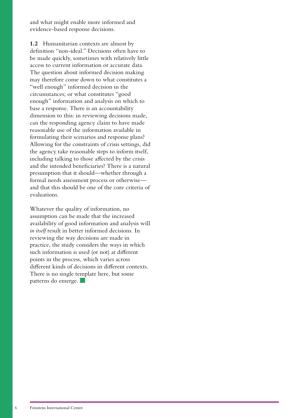and what might enable more informed and evidence-based response decisions.

**1.2** Humanitarian contexts are almost by definition ''non-ideal." Decisions often have to be made quickly, sometimes with relatively little access to current information or accurate data. The question about informed decision making may therefore come down to what constitutes a "well enough" informed decision in the circumstances; or what constitutes "good enough" information and analysis on which to base a response. There is an accountability dimension to this: in reviewing decisions made, can the responding agency claim to have made reasonable use of the information available in formulating their scenarios and response plans? Allowing for the constraints of crisis settings, did the agency take reasonable steps to inform itself, including talking to those affected by the crisis and the intended beneficiaries? There is a natural presumption that it should—whether through a formal needs assessment process or otherwise and that this should be one of the core criteria of evaluations.

Whatever the quality of information, no assumption can be made that the increased availability of good information and analysis will *in itself* result in better informed decisions. In reviewing the way decisions are made in practice, the study considers the ways in which such information is used (or not) at different points in the process, which varies across different kinds of decisions in different contexts. There is no single template here, but some patterns do emerge.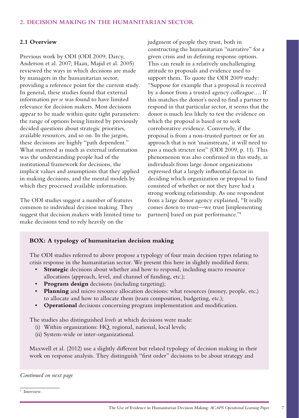## <span id="page-6-0"></span>**2. DECISION MAKING IN THE HUMANITARIAN SECTOR**

## **2.1 Overview**

Previous work by ODI (ODI 2009; Darcy, Anderson et al. 2007; Haan, Majid et al. 2005) reviewed the ways in which decisions are made by managers in the humanitarian sector, providing a reference point for the current study. In general, these studies found that external information *per se* was found to have limited relevance for decision makers. Most decisions appear to be made within quite tight parameters: the range of options being limited by previously decided questions about strategic priorities, available resources, and so on. In the jargon, these decisions are highly "path dependent." What mattered as much as external information was the understanding people had of the institutional framework for decisions, the implicit values and assumptions that they applied in making decisions, and the mental models by which they processed available information.

The ODI studies suggest a number of features common to individual decision making. They suggest that decision makers with limited time to make decisions tend to rely heavily on the

judgment of people they trust, both in constructing the humanitarian "narrative" for a given crisis and in defining response options. This can result in a relatively unchallenging attitude to proposals and evidence used to support them. To quote the ODI 2009 study: "Suppose for example that a proposal is received by a donor from a trusted agency colleague…. If this matches the donor's need to find a partner to respond in that particular sector, it seems that the donor is much less likely to test the evidence on which the proposal is based or to seek corroborative evidence. Conversely, if the proposal is from a non-trusted partner or for an approach that is not 'mainstream,' it will need to pass a much stricter test" (ODI 2009, p. 11). This phenomenon was also confirmed in this study, as individuals from large donor organizations expressed that a largely influential factor in deciding which organization or proposal to fund consisted of whether or not they have had a strong working relationship. As one respondent from a large donor agency explained, "It really comes down to trust—we trust [implementing partners] based on past performance."4

# **BOX: A typology of humanitarian decision making**

The ODI studies referred to above propose a typology of four main decision types relating to crisis response in the humanitarian sector. We present this here in slightly modified form:

- • **Strategic** decisions about whether and how to respond, including macro resource allocations (approach, level, and channel of funding, etc.);
- **Program design** decisions (including targeting);
- **Planning** and micro resource allocation decisions: what resources (money, people, etc.) to allocate and how to allocate them (team composition, budgeting, etc.);
- **Operational** decisions concerning program implementation and modification.

The studies also distinguished *levels* at which decisions were made:

- (i) Within organizations: HQ, regional, national, local levels;
- (ii) System-wide or inter-organizational.

Maxwell et al. (2012) use a slightly different but related typology of decision making in their work on response analysis. They distinguish "first order" decisions to be about strategy and

*Continued on next page*

4 Interview.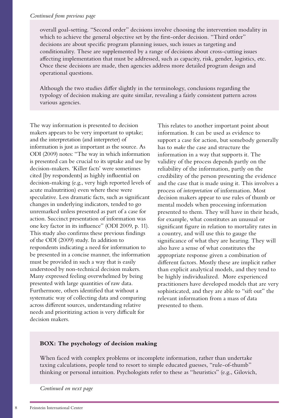#### *Continued from previous page*

overall goal-setting. "Second order" decisions involve choosing the intervention modality in which to achieve the general objective set by the first-order decision. "Third order" decisions are about specific program planning issues, such issues as targeting and conditionality. These are supplemented by a range of decisions about cross-cutting issues affecting implementation that must be addressed, such as capacity, risk, gender, logistics, etc. Once these decisions are made, then agencies address more detailed program design and operational questions.

Although the two studies differ slightly in the terminology, conclusions regarding the typology of decision making are quite similar, revealing a fairly consistent pattern across various agencies.

The way information is presented to decision makers appears to be very important to uptake; and the interpretation (and interpreter) of information is just as important as the source. As ODI (2009) notes: "The way in which information is presented can be crucial to its uptake and use by decision-makers. 'Killer facts' were sometimes cited [by respondents] as highly influential on decision-making (e.g., very high reported levels of acute malnutrition) even where these were speculative. Less dramatic facts, such as significant changes in underlying indicators, tended to go unremarked unless presented as part of a case for action. Succinct presentation of information was one key factor in its influence" (ODI 2009, p. 11). This study also confirms these previous findings of the ODI (2009) study. In addition to respondents indicating a need for information to be presented in a concise manner, the information must be provided in such a way that is easily understood by non-technical decision makers. Many expressed feeling overwhelmed by being presented with large quantities of raw data. Furthermore, others identified that without a systematic way of collecting data and comparing across different sources, understanding relative needs and prioritizing action is very difficult for decision makers.

This relates to another important point about information. It can be used as evidence to support a case for action, but somebody generally has to *make* the case and structure the information in a way that supports it. The validity of the process depends partly on the reliability of the information, partly on the credibility of the person presenting the evidence and the case that is made using it. This involves a process of *interpretation* of information. Most decision makers appear to use rules of thumb or mental models when processing information presented to them. They will have in their heads, for example, what constitutes an unusual or significant figure in relation to mortality rates in a country, and will use this to gauge the significance of what they are hearing. They will also have a sense of what constitutes the appropriate response given a combination of different factors. Mostly these are implicit rather than explicit analytical models, and they tend to be highly individualized. More experienced practitioners have developed models that are very sophisticated, and they are able to "sift out" the relevant information from a mass of data presented to them.

## **BOX: The psychology of decision making**

When faced with complex problems or incomplete information, rather than undertake taxing calculations, people tend to resort to simple educated guesses, "rule-of-thumb" thinking or personal intuition. Psychologists refer to these as "heuristics" (e.g., Gilovich,

*Continued on next page*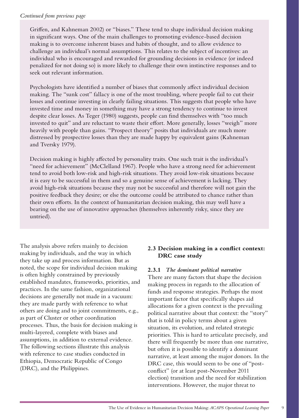## <span id="page-8-0"></span>*Continued from previous page*

Griffen, and Kahneman 2002) or "biases." These tend to shape individual decision making in significant ways. One of the main challenges to promoting evidence-based decision making is to overcome inherent biases and habits of thought, and to allow evidence to challenge an individual's normal assumptions. This relates to the subject of incentives: an individual who is encouraged and rewarded for grounding decisions in evidence (or indeed penalized for not doing so) is more likely to challenge their own instinctive responses and to seek out relevant information.

Psychologists have identified a number of biases that commonly affect individual decision making. The "sunk cost" fallacy is one of the most troubling, where people fail to cut their losses and continue investing in clearly failing situations. This suggests that people who have invested time and money in something may have a strong tendency to continue to invest despite clear losses. As Teger (1980) suggests, people can find themselves with "too much invested to quit" and are reluctant to waste their effort. More generally, losses "weigh" more heavily with people than gains. "Prospect theory" posits that individuals are much more distressed by prospective losses than they are made happy by equivalent gains (Kahneman and Tversky 1979).

Decision making is highly affected by personality traits. One such trait is the individual's "need for achievement" (McClelland 1967). People who have a strong need for achievement tend to avoid both low-risk and high-risk situations. They avoid low-risk situations because it is easy to be successful in them and so a genuine sense of achievement is lacking. They avoid high-risk situations because they may not be successful and therefore will not gain the positive feedback they desire; or else the outcome could be attributed to chance rather than their own efforts. In the context of humanitarian decision making, this may well have a bearing on the use of innovative approaches (themselves inherently risky, since they are untried).

The analysis above refers mainly to decision making by individuals, and the way in which they take up and process information. But as noted, the scope for individual decision making is often highly constrained by previously established mandates, frameworks, priorities, and practices. In the same fashion, organizational decisions are generally not made in a vacuum: they are made partly with reference to what others are doing and to joint commitments, e.g., as part of Cluster or other coordination processes. Thus, the basis for decision making is multi-layered, complete with biases and assumptions, in addition to external evidence. The following sections illustrate this analysis with reference to case studies conducted in Ethiopia, Democratic Republic of Congo (DRC), and the Philippines.

# **2.3 Decision making in a conflict context: DRC case study**

## **2.3.1** *The dominant political narrative*

There are many factors that shape the decision making process in regards to the allocation of funds and response strategies. Perhaps the most important factor that specifically shapes aid allocations for a given context is the prevailing political narrative about that context: the "story" that is told in policy terms about a given situation, its evolution, and related strategic priorities. This is hard to articulate precisely, and there will frequently be more than one narrative, but often it is possible to identify a dominant narrative, at least among the major donors. In the DRC case, this would seem to be one of "postconflict" (or at least post-November 2011 election) transition and the need for stabilization interventions. However, the major threat to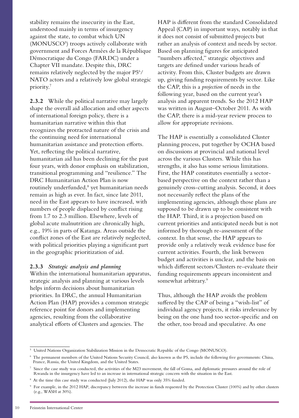stability remains the insecurity in the East, understood mainly in terms of insurgency against the state, to combat which UN (MONUSCO<sup>5</sup>) troops actively collaborate with government and Forces Armées de la République Démocratique du Congo (FARDC) under a Chapter VII mandate. Despite this, DRC remains relatively neglected by the major P5<sup>6</sup>/ NATO actors and a relatively low global strategic priority.7

**2.3.2** While the political narrative may largely shape the overall aid allocation and other aspects of international foreign policy, there is a humanitarian narrative within this that recognizes the protracted nature of the crisis and the continuing need for international humanitarian assistance and protection efforts. Yet, reflecting the political narrative, humanitarian aid has been declining for the past four years, with donor emphasis on stabilization, transitional programming and "resilience." The DRC Humanitarian Action Plan is now routinely underfunded,<sup>8</sup> yet humanitarian needs remain as high as ever. In fact, since late 2011, need in the East appears to have increased, with numbers of people displaced by conflict rising from 1.7 to 2.3 million. Elsewhere, levels of global acute malnutrition are chronically high, e.g., 19% in parts of Katanga. Areas outside the conflict zones of the East are relatively neglected, with political priorities playing a significant part in the geographic prioritization of aid.

#### **2.3.3** *Strategic analysis and planning*

Within the international humanitarian apparatus, strategic analysis and planning at various levels helps inform decisions about humanitarian priorities. In DRC, the annual Humanitarian Action Plan (HAP) provides a common strategic reference point for donors and implementing agencies, resulting from the collaborative analytical efforts of Clusters and agencies. The

HAP is different from the standard Consolidated Appeal (CAP) in important ways, notably in that it does not consist of submitted projects but rather an analysis of context and needs by sector. Based on planning figures for anticipated "numbers affected," strategic objectives and targets are defined under various heads of activity. From this, Cluster budgets are drawn up, giving funding requirements by sector. Like the CAP, this is a *projection* of needs in the following year, based on the current year's analysis and apparent trends. So the 2012 HAP was written in August–October 2011. As with the CAP, there is a mid-year review process to allow for appropriate revisions.

The HAP is essentially a consolidated Cluster planning process, put together by OCHA based on discussions at provincial and national level across the various Clusters. While this has strengths, it also has some serious limitations. First, the HAP constitutes essentially a sectorbased perspective on the context rather than a genuinely cross-cutting analysis. Second, it does not necessarily reflect the plans of the implementing agencies, although those plans are supposed to be drawn up to be consistent with the HAP. Third, it is a projection based on current priorities and anticipated needs but is not informed by thorough re-assessment of the context. In that sense, the HAP appears to provide only a relatively weak evidence base for current activities. Fourth, the link between budget and activities is unclear, and the basis on which different sectors/Clusters re-evaluate their funding requirements appears inconsistent and somewhat arbitrary.<sup>9</sup>

Thus, although the HAP avoids the problem suffered by the CAP of being a "wish-list" of individual agency projects, it risks irrelevance by being on the one hand too sector-specific and on the other, too broad and speculative. As one

<sup>5</sup> United Nations Organization Stabilization Mission in the Democratic Republic of the Congo (MONUSCO).

<sup>6</sup> The permanent members of the United Nations Security Council, also known as the P5, include the following five governments: China, France, Russia, the United Kingdom, and the United States.

<sup>7</sup> Since the case study was conducted, the activities of the M23 movement, the fall of Goma, and diplomatic pressures around the role of Rwanda in the insurgency have led to an increase in international strategic concern with the situation in the East.

<sup>&</sup>lt;sup>8</sup> At the time this case study was conducted (July 2012), the HAP was only 35% funded.

<sup>9</sup> For example, in the 2012 HAP, discrepancy between the increase in funds requested by the Protection Cluster (100%) and by other clusters (e.g., WASH at 30%).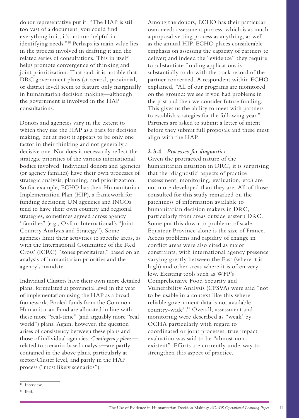donor representative put it: "The HAP is still too vast of a document, you could find everything in it; it's not too helpful in identifying needs."10 Perhaps its main value lies in the process involved in drafting it and the related series of consultations. This in itself helps promote convergence of thinking and joint prioritization. That said, it is notable that DRC government plans (at central, provincial, or district level) seem to feature only marginally in humanitarian decision making—although the government is involved in the HAP consultations.

Donors and agencies vary in the extent to which they use the HAP as a basis for decision making, but at most it appears to be only one factor in their thinking and not generally a decisive one. Nor does it necessarily reflect the strategic priorities of the various international bodies involved. Individual donors and agencies (or agency families) have their own processes of strategic analysis, planning, and prioritization. So for example, ECHO has their Humanitarian Implementation Plan (HIP), a framework for funding decisions; UN agencies and INGOs tend to have their own country and regional strategies, sometimes agreed across agency "families" (e.g., Oxfam International's "Joint Country Analysis and Strategy"). Some agencies limit their activities to specific areas, as with the International Committee of the Red Cross' (ICRC) "zones prioritaires," based on an analysis of humanitarian priorities and the agency's mandate.

Individual Clusters have their own more detailed plans, formulated at provincial level in the year of implementation using the HAP as a broad framework. Pooled funds from the Common Humanitarian Fund are allocated in line with these more "real-time" (and arguably more "real world") plans. Again, however, the question arises of consistency between these plans and those of individual agencies. *Contingency plans* related to scenario-based analysis—are partly contained in the above plans, particularly at sector/Cluster level, and partly in the HAP process ("most likely scenarios").

Among the donors, ECHO has their particular own needs assessment process, which is as much a proposal vetting process as anything; as well as the annual HIP. ECHO places considerable emphasis on assessing the capacity of partners to deliver; and indeed the "evidence" they require to substantiate funding applications is substantially to do with the track record of the partner concerned. A respondent within ECHO explained, "All of our programs are monitored on the ground: we see if you had problems in the past and then we consider future funding. This gives us the ability to meet with partners to establish strategies for the following year." Partners are asked to submit a letter of intent before they submit full proposals and these must align with the HAP.

# **2.3.4** *Processes for diagnostics*

Given the protracted nature of the humanitarian situation in DRC, it is surprising that the 'diagnostic' aspects of practice (assessment, monitoring, evaluation, etc.) are not more developed than they are. All of those consulted for this study remarked on the patchiness of information available to humanitarian decision makers in DRC, particularly from areas outside eastern DRC. Some put this down to problems of scale: Equateur Province alone is the size of France. Access problems and rapidity of change in conflict areas were also cited as major constraints, with international agency presence varying greatly between the East (where it is high) and other areas where it is often very low. Existing tools such as WFP's Comprehensive Food Security and Vulnerability Analysis (CFSVA) were said "not to be usable in a context like this where reliable government data is not available country-wide".11 Overall, assessment and monitoring were described as "weak' by OCHA particularly with regard to coordinated or joint processes; true impact evaluation was said to be "almost nonexistent". Efforts are currently underway to strengthen this aspect of practice.

<sup>&</sup>lt;sup>10</sup> Interview.

 $11$  Ibid.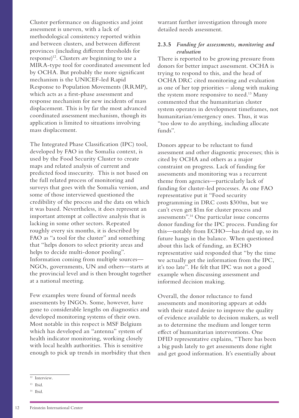Cluster performance on diagnostics and joint assessment is uneven, with a lack of methodological consistency reported within and between clusters, and between different provinces (including different thresholds for response)12. Clusters *are* beginning to use a MIRA-type tool for coordinated assessment led by OCHA. But probably the more significant mechanism is the UNICEF-led Rapid Response to Population Movements (RRMP), which acts as a first-phase assessment and response mechanism for new incidents of mass displacement. This is by far the most advanced coordinated assessment mechanism, though its application is limited to situations involving mass displacement.

The Integrated Phase Classification (IPC) tool, developed by FAO in the Somalia context, is used by the Food Security Cluster to create maps and related analysis of current and predicted food insecurity. This is not based on the full related process of monitoring and surveys that goes with the Somalia version, and some of those interviewed questioned the credibility of the process and the data on which it was based. Nevertheless, it does represent an important attempt at collective analysis that is lacking in some other sectors. Repeated roughly every six months, it is described by FAO as "a tool for the cluster" and something that "helps donors to select priority areas and helps to decide multi-donor pooling". Information coming from multiple sources— NGOs, governments, UN and others—starts at the provincial level and is then brought together at a national meeting.

Few examples were found of formal needs assessments by INGOs. Some, however, have gone to considerable lengths on diagnostics and developed monitoring systems of their own. Most notable in this respect is MSF Belgium which has developed an "antenna" system of health indicator monitoring, working closely with local health authorities. This is sensitive enough to pick up trends in morbidity that then

# **2.3.5** *Funding for assessments, monitoring and evaluation*

There is reported to be growing pressure from donors for better impact assessment. OCHA is trying to respond to this, and the head of OCHA DRC cited monitoring and evaluation as one of her top priorities – along with making the system more responsive to need.<sup>13</sup> Many commented that the humanitarian cluster system operates in development timeframes, not humanitarian/emergency ones. Thus, it was "too slow to do anything, including allocate funds".

Donors appear to be reluctant to fund assessment and other diagnostic processes; this is cited by OCHA and others as a major constraint on progress. Lack of funding for assessments and monitoring was a recurrent theme from agencies—particularly lack of funding for cluster-led processes. As one FAO representative put it "Food security programming in DRC costs \$300m, but we can't even get \$1m for cluster process and assessments".14 One particular issue concerns donor funding for the IPC process. Funding for this—notably from ECHO—has dried up, so its future hangs in the balance. When questioned about this lack of funding, an ECHO representative said responded that "by the time we actually get the information from the IPC, it's too late". He felt that IPC was not a good example when discussing assessment and informed decision making.

Overall, the donor reluctance to fund assessments and monitoring appears at odds with their stated desire to improve the quality of evidence available to decision makers, as well as to determine the medium and longer term effect of humanitarian interventions. One DFID representative explains, "There has been a big push lately to get assessments done right and get good information. It's essentially about

warrant further investigation through more detailed needs assessment.

<sup>12</sup> Interview.

<sup>13</sup> Ibid.

<sup>14</sup> Ibid.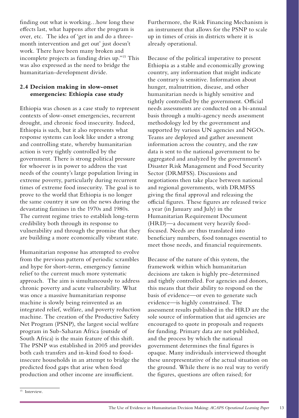<span id="page-12-0"></span>finding out what is working…how long these effects last, what happens after the program is over, etc. The idea of 'get in and do a threemonth intervention and get out' just doesn't work. There have been many broken and incomplete projects as funding dries up."15 This was also expressed as the need to bridge the humanitarian-development divide.

# **2.4 Decision making in slow-onset emergencies: Ethiopia case study**

Ethiopia was chosen as a case study to represent contexts of slow-onset emergencies, recurrent drought, and chronic food insecurity. Indeed, Ethiopia is such, but it also represents what response systems can look like under a strong and controlling state, whereby humanitarian action is very tightly controlled by the government. There is strong political pressure for whoever is in power to address the vast needs of the county's large population living in extreme poverty, particularly during recurrent times of extreme food insecurity. The goal is to prove to the world that Ethiopia is no longer the same country it saw on the news during the devastating famines in the 1970s and 1980s. The current regime tries to establish long-term credibility both through its response to vulnerability and through the promise that they are building a more economically vibrant state.

Humanitarian response has attempted to evolve from the previous pattern of periodic scrambles and hype for short-term, emergency famine relief to the current much more systematic approach. The aim is simultaneously to address chronic poverty and acute vulnerability. What was once a massive humanitarian response machine is slowly being reinvented as an integrated relief, welfare, and poverty reduction machine. The creation of the Productive Safety Net Program (PSNP), the largest social welfare program in Sub-Saharan Africa (outside of South Africa) is the main feature of this shift. The PSNP was established in 2005 and provides both cash transfers and in-kind food to foodinsecure households in an attempt to bridge the predicted food gaps that arise when food production and other income are insufficient.

Furthermore, the Risk Financing Mechanism is an instrument that allows for the PSNP to scale up in times of crisis in districts where it is already operational.

Because of the political imperative to present Ethiopia as a stable and economically growing country, any information that might indicate the contrary is sensitive. Information about hunger, malnutrition, disease, and other humanitarian needs is highly sensitive and tightly controlled by the government. Official needs assessments are conducted on a bi-annual basis through a multi-agency needs assessment methodology led by the government and supported by various UN agencies and NGOs. Teams are deployed and gather assessment information across the country, and the raw data is sent to the national government to be aggregated and analyzed by the government's Disaster Risk Management and Food Security Sector (DRMFSS). Discussions and negotiations then take place between national and regional governments, with DRMFSS giving the final approval and releasing the official figures. These figures are released twice a year (in January and July) in the Humanitarian Requirement Document (HRD)—a document very heavily foodfocused. Needs are thus translated into beneficiary numbers, food tonnages essential to meet those needs, and financial requirements.

Because of the nature of this system, the framework within which humanitarian decisions are taken is highly pre-determined and tightly controlled. For agencies and donors, this means that their ability to respond on the basis of evidence—or even to generate such evidence—is highly constrained. The assessment results published in the HRD are the sole source of information that aid agencies are encouraged to quote in proposals and requests for funding. Primary data are not published, and the process by which the national government determines the final figures is opaque. Many individuals interviewed thought these unrepresentative of the actual situation on the ground. While there is no real way to verify the figures, questions are often raised; for

<sup>&</sup>lt;sup>15</sup> Interview.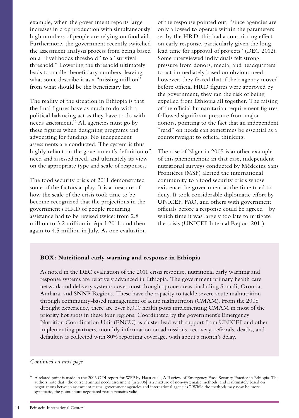example, when the government reports large increases in crop production with simultaneously high numbers of people are relying on food aid. Furthermore, the government recently switched the assessment analysis process from being based on a "livelihoods threshold" to a "survival threshold." Lowering the threshold ultimately leads to smaller beneficiary numbers, leaving what some describe it as a "missing million" from what should be the beneficiary list.

The reality of the situation in Ethiopia is that the final figures have as much to do with a political balancing act as they have to do with needs assessment.16 All agencies must go by these figures when designing programs and advocating for funding. No independent assessments are conducted. The system is thus highly reliant on the government's definition of need and assessed need, and ultimately its view on the appropriate type and scale of responses.

The food security crisis of 2011 demonstrated some of the factors at play. It is a measure of how the scale of the crisis took time to be become recognized that the projections in the government's HRD of people requiring assistance had to be revised twice: from 2.8 million to 3.2 million in April 2011; and then again to 4.5 million in July. As one evaluation

of the response pointed out, "since agencies are only allowed to operate within the parameters set by the HRD, this had a constricting effect on early response, particularly given the long lead time for approval of projects" (DEC 2012). Some interviewed individuals felt strong pressure from donors, media, and headquarters to act immediately based on obvious need; however, they feared that if their agency moved before official HRD figures were approved by the government, they ran the risk of being expelled from Ethiopia all together. The raising of the official humanitarian requirement figures followed significant pressure from major donors, pointing to the fact that an independent "read" on needs can sometimes be essential as a counterweight to official thinking.

The case of Niger in 2005 is another example of this phenomenon: in that case, independent nutritional surveys conducted by Médecins Sans Frontières (MSF) alerted the international community to a food security crisis whose existence the government at the time tried to deny. It took considerable diplomatic effort by UNICEF, FAO, and others with government officials before a response could be agreed—by which time it was largely too late to mitigate the crisis (UNICEF Internal Report 2011).

## **BOX: Nutritional early warning and response in Ethiopia**

As noted in the DEC evaluation of the 2011 crisis response, nutritional early warning and response systems are relatively advanced in Ethiopia. The government primary health care network and delivery systems cover most drought-prone areas, including Somali, Oromia, Amhara, and SNNP Regions. These have the capacity to tackle severe acute malnutrition through community-based management of acute malnutrition (CMAM). From the 2008 drought experience, there are over 8,000 health posts implementing CMAM in most of the priority hot spots in these four regions. Coordinated by the government's Emergency Nutrition Coordination Unit (ENCU) as cluster lead with support from UNICEF and other implementing partners, monthly information on admissions, recovery, referrals, deaths, and defaulters is collected with 80% reporting coverage, with about a month's delay.

#### *Continued on next page*

<sup>16</sup> A related point is made in the 2006 ODI report for WFP by Haan et al., A Review of Emergency Food Security Practice in Ethiopia. The authors note that "the current annual needs assessment [in 2006] is a mixture of non-systematic methods, and is ultimately based on negotiations between assessment teams, government agencies and international agencies." While the methods may now be more systematic, the point about negotiated results remains valid.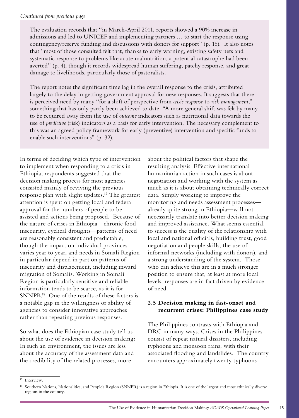<span id="page-14-0"></span>The evaluation records that "in March-April 2011, reports showed a 90% increase in admissions and led to UNICEF and implementing partners … to start the response using contingency/reserve funding and discussions with donors for support" (p. 16). It also notes that "most of those consulted felt that, thanks to early warning, existing safety nets and systematic response to problems like acute malnutrition, a potential catastrophe had been averted" (p. 4), though it records widespread human suffering, patchy response, and great damage to livelihoods, particularly those of pastoralists.

The report notes the significant time lag in the overall response to the crisis, attributed largely to the delay in getting government approval for new responses. It suggests that there is perceived need by many "for a shift of perspective from *crisis response* to *risk management*," something that has only partly been achieved to date. "A more general shift was felt by many to be required away from the use of *outcome* indicators such as nutritional data towards the use of *predictive* (risk) indicators as a basis for early intervention. The necessary complement to this was an agreed policy framework for early (preventive) intervention and specific funds to enable such interventions" (p. 32).

In terms of deciding which type of intervention to implement when responding to a crisis in Ethiopia, respondents suggested that the decision making process for most agencies consisted mainly of reviving the previous response plan with slight updates.<sup>17</sup> The greatest attention is spent on getting local and federal approval for the numbers of people to be assisted and actions being proposed. Because of the nature of crises in Ethiopia—chronic food insecurity, cyclical droughts—patterns of need are reasonably consistent and predictable, though the impact on individual provinces varies year to year, and needs in Somali Region in particular depend in part on patterns of insecurity and displacement, including inward migration of Somalis. Working in Somali Region is particularly sensitive and reliable information tends to be scarce, as it is for SNNPR<sup>18</sup>. One of the results of these factors is a notable gap in the willingness or ability of agencies to consider innovative approaches rather than repeating previous responses.

So what does the Ethiopian case study tell us about the use of evidence in decision making? In such an environment, the issues are less about the accuracy of the assessment data and the credibility of the related processes, more

about the political factors that shape the resulting analysis. Effective international humanitarian action in such cases is about negotiation and working with the system as much as it is about obtaining technically correct data. Simply working to improve the monitoring and needs assessment processes already quite strong in Ethiopia—will not necessarily translate into better decision making and improved assistance. What seems essential to success is the quality of the relationship with local and national officials, building trust, good negotiation and people skills, the use of informal networks (including with donors), and a strong understanding of the system. Those who can achieve this are in a much stronger position to ensure that, at least at more local levels, responses are in fact driven by evidence of need.

# **2.5 Decision making in fast-onset and recurrent crises: Philippines case study**

The Philippines contrasts with Ethiopia and DRC in many ways. Crises in the Philippines consist of repeat natural disasters, including typhoons and monsoon rains, with their associated flooding and landslides. The country encounters approximately twenty typhoons

 $17$  Interview.

<sup>&</sup>lt;sup>18</sup> Southern Nations, Nationalities, and People's Region (SNNPR) is a region in Ethiopia. It is one of the largest and most ethnically diverse regions in the country.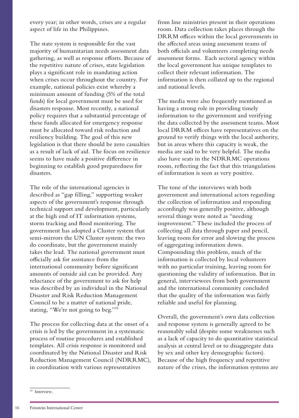every year; in other words, crises are a regular aspect of life in the Philippines.

The state system is responsible for the vast majority of humanitarian needs assessment data gathering, as well as response efforts. Because of the repetitive nature of crises, state legislation plays a significant role in mandating action when crises occur throughout the country. For example, national policies exist whereby a minimum amount of funding (5% of the total funds) for local government must be used for disasters response. Most recently, a national policy requires that a substantial percentage of these funds allocated for emergency response must be allocated toward risk reduction and resiliency building. The goal of this new legislation is that there should be zero casualties as a result of lack of aid. The focus on resilience seems to have made a positive difference in beginning to establish good preparedness for disasters.

The role of the international agencies is described as "gap filling," supporting weaker aspects of the government's response through technical support and development, particularly at the high end of IT information systems, storm tracking and flood monitoring. The government has adopted a Cluster system that semi-mirrors the UN Cluster system: the two do coordinate, but the government mainly takes the lead. The national government must officially ask for assistance from the international community before significant amounts of outside aid can be provided. Any reluctance of the government to ask for help was described by an individual in the National Disaster and Risk Reduction Management Council to be a matter of national pride, stating, "We're not going to beg."19

The process for collecting data at the onset of a crisis is led by the government in a systematic process of routine procedures and established templates. All crisis response is monitored and coordinated by the National Disaster and Risk Reduction Management Council (NDRRMC), in coordination with various representatives

from line ministries present in their operations room. Data collection takes places through the DRRM offices within the local governments in the affected areas using assessment teams of both officials and volunteers completing needs assessment forms. Each sectoral agency within the local government has unique templates to collect their relevant information. The information is then collated up to the regional and national levels.

The media were also frequently mentioned as having a strong role in providing timely information to the government and verifying the data collected by the assessment teams. Most local DRRM offices have representatives on the ground to verify things with the local authority, but in areas where this capacity is weak, the media are said to be very helpful. The media also have seats in the NDRRMC operations room, reflecting the fact that this triangulation of information is seen as very positive.

The tone of the interviews with both government and international actors regarding the collection of information and responding accordingly was generally positive, although several things were noted as "needing improvement." These included the process of collecting all data through paper and pencil, leaving room for error and slowing the process of aggregating information down. Compounding this problem, much of the information is collected by local volunteers with no particular training, leaving room for questioning the validity of information. But in general, interviewees from both government and the international community concluded that the quality of the information was fairly reliable and useful for planning.

Overall, the government's own data collection and response system is generally agreed to be reasonably solid (despite some weaknesses such as a lack of capacity to do quantitative statistical analysis at central level or to disaggregate data by sex and other key demographic factors). Because of the high frequency and repetitive nature of the crises, the information systems are

 $19$  Interview.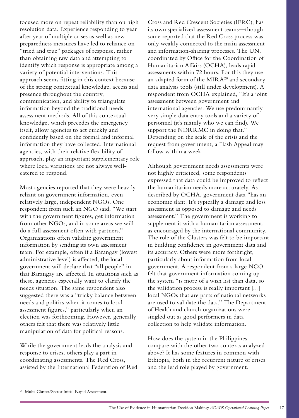focused more on repeat reliability than on high resolution data. Experience responding to year after year of multiple crises as well as new preparedness measures have led to reliance on "tried and true" packages of response, rather than obtaining raw data and attempting to identify which response is appropriate among a variety of potential interventions. This approach seems fitting in this context because of the strong contextual knowledge, access and presence throughout the country, communication, and ability to triangulate information beyond the traditional needs assessment methods. All of this contextual knowledge, which precedes the emergency itself, allow agencies to act quickly and confidently based on the formal and informal information they have collected. International agencies, with their relative flexibility of approach, play an important supplementary role where local variations are not always wellcatered to respond.

Most agencies reported that they were heavily reliant on government information, even relatively large, independent NGOs. One respondent from such an NGO said, "We start with the government figures, get information from other NGOs, and in some areas we will do a full assessment often with partners." Organizations often validate government information by sending its own assessment team. For example, often if a Barangay (lowest administrative level) is affected, the local government will declare that "all people" in that Barangay are affected. In situations such as these, agencies especially want to clarify the needs situation. The same respondent also suggested there was a "tricky balance between needs and politics when it comes to local assessment figures," particularly when an election was forthcoming. However, generally others felt that there was relatively little manipulation of data for political reasons.

While the government leads the analysis and response to crises, others play a part in coordinating assessments. The Red Cross, assisted by the International Federation of Red

Cross and Red Crescent Societies (IFRC), has its own specialized assessment teams—though some reported that the Red Cross process was only weakly connected to the main assessment and information-sharing processes. The UN, coordinated by Office for the Coordination of Humanitarian Affairs (OCHA), leads rapid assessments within 72 hours. For this they use an adapted form of the MIR $A^{20}$  and secondary data analysis tools (still under development). A respondent from OCHA explained, "It's a joint assessment between government and international agencies. We use predominantly very simple data entry tools and a variety of personnel (it's mainly who we can find). We support the NDRRMC in doing that." Depending on the scale of the crisis and the request from government, a Flash Appeal may follow within a week.

Although government needs assessments were not highly criticized, some respondents expressed that data could be improved to reflect the humanitarian needs more accurately. As described by OCHA, government data "has an economic slant. It's typically a damage and loss assessment as opposed to damage and needs assessment." The government is working to supplement it with a humanitarian assessment, as encouraged by the international community. The role of the Clusters was felt to be important in building confidence in government data and its accuracy. Others were more forthright, particularly about information from local government. A respondent from a large NGO felt that government information coming up the system "is more of a wish list than data, so the validation process is really important […] local NGOs that are parts of national networks are used to validate the data." The Department of Health and church organizations were singled out as good performers in data collection to help validate information.

How does the system in the Philippines compare with the other two contexts analyzed above? It has some features in common with Ethiopia, both in the recurrent nature of crises and the lead role played by government.

<sup>20</sup> Multi-Cluster/Sector Initial Rapid Assessment.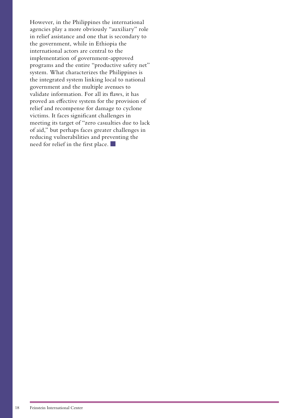However, in the Philippines the international agencies play a more obviously "auxiliary" role in relief assistance and one that is secondary to the government, while in Ethiopia the international actors are central to the implementation of government-approved programs and the entire "productive safety net" system. What characterizes the Philippines is the integrated system linking local to national government and the multiple avenues to validate information. For all its flaws, it has proved an effective system for the provision of relief and recompense for damage to cyclone victims. It faces significant challenges in meeting its target of "zero casualties due to lack of aid," but perhaps faces greater challenges in reducing vulnerabilities and preventing the need for relief in the first place.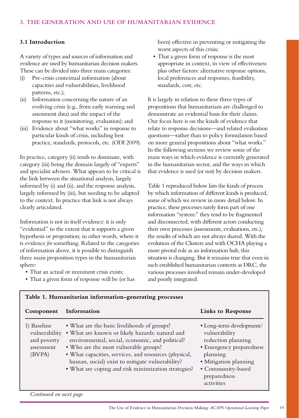# <span id="page-18-0"></span>**3.1 Introduction**

A variety of types and sources of information and evidence are used by humanitarian decision makers. These can be divided into three main categories:

- (i) Pre-crisis contextual information (about capacities and vulnerabilities, livelihood patterns, etc.);
- (ii) Information concerning the nature of an evolving crisis (e.g., from early warning and assessment data) and the impact of the response to it (monitoring, evaluation); and
- (iii) Evidence about "what works" in response to particular kinds of crisis, including best practice, standards, protocols, etc. (ODI 2009).

In practice, category (ii) tends to dominate, with category (iii) being the domain largely of "experts" and specialist advisers. What appears to be critical is the link between the situational analysis, largely informed by (i) and (ii), and the response analysis, largely informed by (iii), but needing to be adapted to the context. In practice that link is not always clearly articulated.

Information is not in itself evidence: it is only "evidential" to the extent that it supports a given hypothesis or proposition; in other words, where it is evidence *for* something. Related to the categories of information above, it is possible to distinguish three main proposition types in the humanitarian sphere:

- That an actual or imminent crisis exists;
- That a given form of response will be (or has

**Table 1. Humanitarian information-generating processes**

been) effective in preventing or mitigating the worst aspects of this crisis;

• That a given form of response is the most appropriate in context, in view of effectiveness plus other factors: alternative response options, local preferences and responses, feasibility, standards, cost, etc.

It is largely in relation to these three types of propositions that humanitarians are challenged to demonstrate an evidential basis for their claims. Our focus here is on the kinds of evidence that relate to response decisions—and related evaluation questions—rather than to policy formulation based on more general propositions about "what works." In the following sections we review some of the main ways in which evidence is currently generated in the humanitarian sector, and the ways in which that evidence is used (or not) by decision makers.

Table 1 reproduced below lists the kinds of process by which information of different kinds is produced, some of which we review in more detail below. In practice, these processes rarely form part of one information "system:" they tend to be fragmented and disconnected, with different actors conducting their own processes (assessments, evaluations, etc.), the results of which are not always shared. With the evolution of the Clusters and with OCHA playing a more pivotal role as an information hub, this situation is changing. But it remains true that even in such established humanitarian contexts as DRC, the various processes involved remain under-developed and poorly integrated.

| Component                                                           | Information                                                                                                                                                                                                                                                                                                                                                   | <b>Links to Response</b>                                                                                                                                                            |
|---------------------------------------------------------------------|---------------------------------------------------------------------------------------------------------------------------------------------------------------------------------------------------------------------------------------------------------------------------------------------------------------------------------------------------------------|-------------------------------------------------------------------------------------------------------------------------------------------------------------------------------------|
| 1) Baseline<br>vulnerability<br>and poverty<br>assessment<br>(BVPA) | • What are the basic livelihoods of groups?<br>• What are known or likely hazards: natural and<br>environmental, social, economic, and political?<br>• Who are the most vulnerable groups?<br>• What capacities, services, and resources (physical,<br>human, social) exist to mitigate vulnerability?<br>• What are coping and risk minimization strategies? | • Long-term development/<br>vulnerability<br>reduction planning<br>• Emergency preparedness<br>planning<br>· Mitigation planning<br>• Community-based<br>preparedness<br>activities |
| Continued on next page                                              |                                                                                                                                                                                                                                                                                                                                                               |                                                                                                                                                                                     |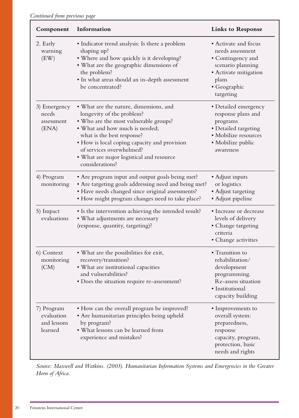| Component                                          | Information                                                                                                                                                                                                                                                                                                             | <b>Links to Response</b>                                                                                                                          |
|----------------------------------------------------|-------------------------------------------------------------------------------------------------------------------------------------------------------------------------------------------------------------------------------------------------------------------------------------------------------------------------|---------------------------------------------------------------------------------------------------------------------------------------------------|
| 2. Early<br>warning<br>(EW)                        | • Indicator trend analysis: Is there a problem<br>shaping up?<br>• Where and how quickly is it developing?<br>• What are the geographic dimensions of<br>the problem?<br>· In what areas should an in-depth assessment<br>be concentrated?                                                                              | • Activate and focus<br>needs assessment<br>• Contingency and<br>scenario planning<br>• Activate mitigation<br>plans<br>• Geographic<br>targeting |
| 3) Emergency<br>needs<br>assessment<br>(ENA)       | • What are the nature, dimensions, and<br>longevity of the problem?<br>. Who are the most vulnerable groups?<br>• What and how much is needed;<br>what is the best response?<br>• How is local coping capacity and provision<br>of services overwhelmed?<br>• What are major logistical and resource<br>considerations? | • Detailed emergency<br>response plans and<br>programs<br>• Detailed targeting<br>· Mobilize resources<br>• Mobilize public<br>awareness          |
| 4) Program<br>monitoring                           | • Are program input and output goals being met?<br>• Are targeting goals addressing need and being met?<br>• Have needs changed since original assessments?<br>• How might program changes need to take place?                                                                                                          | • Adjust inputs<br>or logistics<br>• Adjust targeting<br>• Adjust pipeline                                                                        |
| 5) Impact<br>evaluations                           | • Is the intervention achieving the intended result?<br>• What adjustments are necessary<br>(response, quantity, targeting)?                                                                                                                                                                                            | • Increase or decrease<br>levels of delivery<br>• Change targeting<br>criteria<br>• Change activities                                             |
| 6) Context<br>monitoring<br>(CM)                   | • What are the possibilities for exit,<br>recovery/transition?<br>• What are institutional capacities<br>and vulnerabilities?<br>• Does the situation require re-assessment?                                                                                                                                            | • Transition to<br>rehabilitation/<br>development<br>programming.<br>Re-assess situation<br>· Institutional<br>capacity building                  |
| 7) Program<br>evaluation<br>and lessons<br>learned | • How can the overall program be improved?<br>• Are humanitarian principles being upheld<br>by program?<br>• What lessons can be learned from<br>experience and mistakes?                                                                                                                                               | • Improvements to<br>overall system:<br>preparedness,<br>response<br>capacity, program,<br>protection, basic<br>needs and rights                  |

*Source: Maxwell and Watkins. (2003). Humanitarian Information Systems and Emergencies in the Greater Horn of Africa.*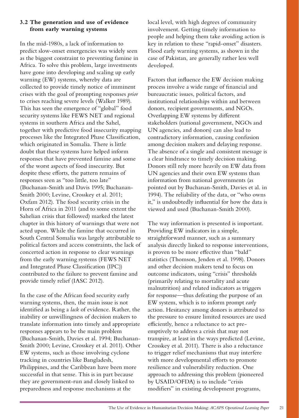# <span id="page-20-0"></span>**3.2 The generation and use of evidence from early warning systems**

In the mid-1980s, a lack of information to predict slow-onset emergencies was widely seen as the biggest constraint to preventing famine in Africa. To solve this problem, large investments have gone into developing and scaling up early warning (EW) systems, whereby data are collected to provide timely notice of imminent crises with the goal of prompting responses *prior*  to crises reaching severe levels (Walker 1989). This has seen the emergence of "global" food security systems like FEWS NET and regional systems in southern Africa and the Sahel, together with predictive food insecurity mapping processes like the Integrated Phase Classification, which originated in Somalia. There is little doubt that these systems have helped inform responses that have prevented famine and some of the worst aspects of food insecurity. But despite these efforts, the pattern remains of responses seen as "too little, too late" (Buchanan-Smith and Davis 1995; Buchanan-Smith 2000; Levine, Crosskey et al. 2011; Oxfam 2012). The food security crisis in the Horn of Africa in 2011 (and to some extent the Sahelian crisis that followed) marked the latest chapter in this history of warnings that were not acted upon. While the famine that occurred in South Central Somalia was largely attributable to political factors and access constraints, the lack of concerted action in response to clear warnings from the early warning systems (FEWS NET and Integrated Phase Classification (IPC)) contributed to the failure to prevent famine and provide timely relief (IASC 2012).

In the case of the African food security early warning systems, then, the main issue is not identified as being a *lack* of evidence. Rather, the inability or unwillingness of decision makers to translate information into timely and appropriate responses appears to be the main problem (Buchanan-Smith, Davies et al. 1994; Buchanan-Smith 2000; Levine, Crosskey et al. 2011). Other EW systems, such as those involving cyclone tracking in countries like Bangladesh, Philippines, and the Caribbean have been more successful in that sense. This is in part because they are government-run and closely linked to preparedness and response mechanisms at the

local level, with high degrees of community involvement. Getting timely information to people and helping them take avoiding action is key in relation to these "rapid-onset" disasters. Flood early warning systems, as shown in the case of Pakistan, are generally rather less well developed.

Factors that influence the EW decision making process involve a wide range of financial and bureaucratic issues, political factors, and institutional relationships within and between donors, recipient governments, and NGOs. Overlapping EW systems by different stakeholders (national government, NGOs and UN agencies, and donors) can also lead to contradictory information, causing confusion among decision makers and delaying response. The absence of a single and consistent message is a clear hindrance to timely decision making. Donors still rely more heavily on EW data from UN agencies and their own EW systems than information from national governments (as pointed out by Buchanan-Smith, Davies et al. in 1994). The reliability of the data, or "who owns it," is undoubtedly influential for how the data is viewed and used (Buchanan-Smith 2000).

The way information is presented is important. Providing EW indicators in a simple, straightforward manner, such as a summary analysis directly linked to response interventions, is proven to be more effective than "bald" statistics (Thomson, Jenden et al. 1998). Donors and other decision makers tend to focus on outcome indicators, using "crisis" thresholds (primarily relating to mortality and acute malnutrition) and related indicators as triggers for response—thus defeating the purpose of an EW system, which is to inform prompt *early* action. Hesitancy among donors is attributed to the pressure to ensure limited resources are used efficiently, hence a reluctance to act preemptively to address a crisis that may not transpire, at least in the ways predicted (Levine, Crosskey et al. 2011). There is also a reluctance to trigger relief mechanisms that may interfere with more developmental efforts to promote resilience and vulnerability reduction. One approach to addressing this problem (pioneered by USAID/OFDA) is to include "crisis modifiers" in existing development programs,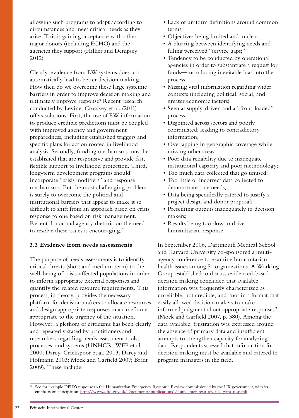<span id="page-21-0"></span>allowing such programs to adapt according to circumstances and meet critical needs as they arise. This is gaining acceptance with other major donors (including ECHO) and the agencies they support (Hillier and Dempsey 2012).

Clearly, evidence from EW systems does not automatically lead to better decision making. How then do we overcome these large systemic barriers in order to improve decision making and ultimately improve response? Recent research conducted by Levine, Crosskey et al. (2011) offers solutions. First, the use of EW information to produce credible predictions must be coupled with improved agency and government preparedness, including established triggers and specific plans for action rooted in livelihood analysis. Secondly, funding mechanisms must be established that are responsive and provide fast, flexible support to livelihood protection. Third, long-term development programs should incorporate "crisis modifiers" and response mechanisms. But the most challenging problem is surely to overcome the political and institutional barriers that appear to make it so difficult to shift from an approach based on crisis response to one based on risk management. Recent donor and agency rhetoric on the need to resolve these issues is encouraging. $21$ 

# **3.3 Evidence from needs assessments**

The purpose of needs assessments is to identify critical threats (short and medium term) to the well-being of crisis-affected populations in order to inform appropriate external responses and quantify the related resource requirements. This process, in theory, provides the necessary platform for decision makers to allocate resources and design appropriate responses in a timeframe appropriate to the urgency of the situation. However, a plethora of criticisms has been clearly and repeatedly stated by practitioners and researchers regarding needs assessment tools, processes, and systems (UNHCR, WFP et al. 2000; Darcy, Griekspoor et al. 2003; Darcy and Hofmann 2003; Mock and Garfield 2007; Bradt 2009). These include:

- Lack of uniform definitions around common terms;
- Objectives being limited and unclear;
- • A blurring between identifying needs and filling perceived "service gaps;"
- Tendency to be conducted by operational agencies in order to substantiate a request for funds—introducing inevitable bias into the process;
- Missing vital information regarding wider contexts (including political, social, and greater economic factors);
- Seen as supply-driven and a "front-loaded" process;
- Disjointed across sectors and poorly coordinated, leading to contradictory information;
- Overlapping in geographic coverage while missing other areas;
- Poor data reliability due to inadequate institutional capacity and poor methodology;
- • Too much data collected that go unused;
- Too little or incorrect data collected to demonstrate true needs;
- Data being specifically catered to justify a project design and donor proposal;
- • Presenting outputs inadequately to decision makers;
- • Results being too slow to drive humanitarian response.

In September 2006, Dartmouth Medical School and Harvard University co-sponsored a multiagency conference to examine humanitarian health issues among 51 organizations. A Working Group established to discuss evidenced-based decision making concluded that available information was frequently characterized as unreliable, not credible, and "not in a format that easily allowed decision-makers to make informed judgment about appropriate responses" (Mock and Garfield 2007, p. 380). Among the data available, frustration was expressed around the absence of primary data and insufficient attempts to strengthen capacity for analyzing data. Respondents stressed that information for decision making must be available and catered to program managers in the field.

See for example DFID's response to the Humanitarian Emergency Response Review commissioned by the UK government, with its emphasis on anticipation: **<http://www.dfid.gov.uk/Documents/publications1/hum-emer-resp-rev-uk-gvmt-resp.pdf>**.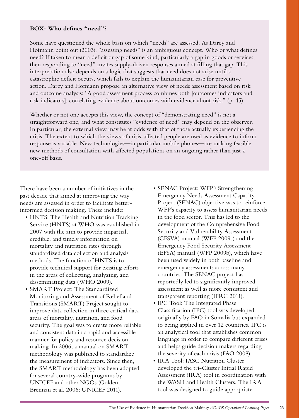## **BOX: Who defines "need"?**

Some have questioned the whole basis on which "needs" are assessed. As Darcy and Hofmann point out (2003), "assessing needs" is an ambiguous concept. Who or what defines need? If taken to mean a deficit or gap of some kind, particularly a gap in goods or services, then responding to "need" invites supply-driven responses aimed at filling that gap. This interpretation also depends on a logic that suggests that need does not arise until a catastrophic deficit occurs, which fails to explain the humanitarian case for preventive action. Darcy and Hofmann propose an alternative view of needs assessment based on risk and outcome analysis: "A good assessment process combines both [outcomes indicators and risk indicators], correlating evidence about outcomes with evidence about risk." (p. 45).

Whether or not one accepts this view, the concept of "demonstrating need" is not a straightforward one, and what constitutes "evidence of need" may depend on the observer. In particular, the external view may be at odds with that of those actually experiencing the crisis. The extent to which the views of crisis-affected people are used as evidence to inform response is variable. New technologies—in particular mobile phones—are making feasible new methods of consultation with affected populations on an ongoing rather than just a one-off basis.

There have been a number of initiatives in the past decade that aimed at improving the way needs are assessed in order to facilitate betterinformed decision making. These include:

- HNTS: The Health and Nutrition Tracking Service (HNTS) at WHO was established in 2007 with the aim to provide impartial, credible, and timely information on mortality and nutrition rates through standardized data collection and analysis methods. The function of HNTS is to provide technical support for existing efforts in the areas of collecting, analyzing, and disseminating data (WHO 2009).
- SMART Project: The Standardized Monitoring and Assessment of Relief and Transitions (SMART) Project sought to improve data collection in three critical data areas of mortality, nutrition, and food security. The goal was to create more reliable and consistent data in a rapid and accessible manner for policy and resource decision making. In 2006, a manual on SMART methodology was published to standardize the measurement of indicators. Since then, the SMART methodology has been adopted for several country-wide programs by UNICEF and other NGOs (Golden, Brennan et al. 2006; UNICEF 2011).
- SENAC Project: WFP's Strengthening Emergency Needs Assessment Capacity Project (SENAC) objective was to reinforce WFP's capacity to assess humanitarian needs in the food sector. This has led to the development of the Comprehensive Food Security and Vulnerability Assessment (CFSVA) manual (WFP 2009a) and the Emergency Food Security Assessment (EFSA) manual (WFP 2009b), which have been used widely in both baseline and emergency assessments across many countries. The SENAC project has reportedly led to significantly improved assessment as well as more consistent and transparent reporting (IFRC 2011).
- IPC Tool: The Integrated Phase Classification (IPC) tool was developed originally by FAO in Somalia but expanded to being applied in over 12 countries. IPC is an analytical tool that establishes common language in order to compare different crises and helps guide decision makers regarding the severity of each crisis (FAO 2008).
- IRA Tool: IASC Nutrition Cluster developed the tri-Cluster Initial Rapid Assessment (IRA) tool in coordination with the WASH and Health Clusters. The IRA tool was designed to guide appropriate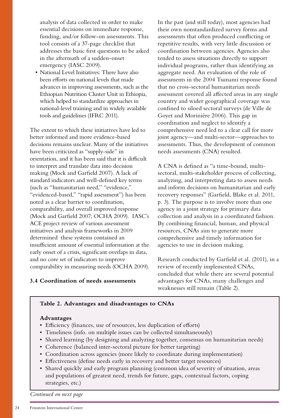<span id="page-23-0"></span>analysis of data collected in order to make essential decisions on immediate response, funding, and/or follow-on assessments. This tool consists of a 37-page checklist that addresses the basic first questions to be asked in the aftermath of a sudden-onset emergency (IASC 2009).

 • National Level Initiatives: There have also been efforts on national levels that made advances in improving assessments, such as the Ethiopian Nutrition Cluster Unit in Ethiopia, which helped to standardize approaches in national-level training and in widely available tools and guidelines (IFRC 2011).

The extent to which these initiatives have led to better informed and more evidence-based decisions remains unclear. Many of the initiatives have been criticized as "supply-side" in orientation, and it has been said that it is difficult to interpret and translate data into decision making (Mock and Garfield 2007). A lack of standard indicators and well-defined key terms (such as "humanitarian need," "evidence," "evidenced-based," "rapid assessment") has been noted as a clear barrier to coordination, comparability, and overall improved response (Mock and Garfield 2007; OCHA 2009). IASC's ACE project review of various assessment initiatives and analysis frameworks in 2009 determined these systems contained an insufficient amount of essential information at the early onset of a crisis, significant overlaps in data, and no core set of indicators to improve comparability in measuring needs (OCHA 2009).

# **3.4 Coordination of needs assessments**

In the past (and still today), most agencies had their own nonstandardized survey forms and assessments that often produced conflicting or repetitive results, with very little discussion or coordination between agencies. Agencies also tended to assess situations directly to support individual programs, rather than identifying an aggregate need. An evaluation of the role of assessments in the 2004 Tsunami response found that no cross-sectoral humanitarian needs assessment covered all affected areas in any single country and wider geographical coverage was confined to siloed sectoral surveys (de Ville de Goyet and Morinière 2006). This gap in coordination and neglect to identify a comprehensive need led to a clear call for more joint agency—and multi-sector—approaches to assessments. Thus, the development of common needs assessments (CNA) resulted.

A CNA is defined as "a time-bound, multisectoral, multi-stakeholder process of collecting, analyzing, and interpreting data to assess needs and inform decisions on humanitarian and early recovery responses" (Garfield, Blake et al. 2011, p. 3). The purpose is to involve more than one agency in a joint strategy for primary data collection and analysis in a coordinated fashion. By combining financial, human, and physical resources, CNAs aim to generate more comprehensive and timely information for agencies to use in decision making.

Research conducted by Garfield et al. (2011), in a review of recently implemented CNAs, concluded that while there are several potential advantages for CNAs, many challenges and weaknesses still remain (Table 2).

# **Table 2. Advantages and disadvantages to CNAs**

## **Advantages**

- Efficiency (finances, use of resources, less duplication of efforts)
- Timeliness (info. on multiple issues can be collected simultaneously)
- • Shared learning (by designing and analyzing together, consensus on humanitarian needs)
- Coherence (balanced inter-sectoral picture for better targeting)
- • Coordination across agencies (more likely to coordinate during implementation)
- Effectiveness (define needs early in recovery and better target resources)
- • Shared quickly and early program planning (common idea of severity of situation, areas and populations of greatest need, trends for future, gaps, contextual factors, coping strategies, etc.)

*Continued on next page*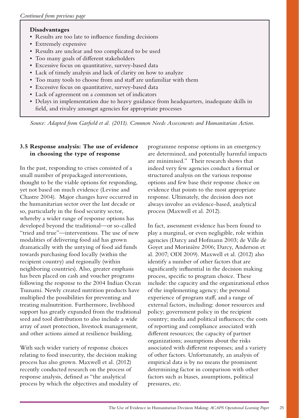# <span id="page-24-0"></span>**Disadvantages**

- Results are too late to influence funding decisions
- • Extremely expensive
- • Results are unclear and too complicated to be used
- • Too many goals of different stakeholders
- • Excessive focus on quantitative, survey-based data
- Lack of timely analysis and lack of clarity on how to analyze
- • Too many tools to choose from and staff are unfamiliar with them
- • Excessive focus on quantitative, survey-based data
- • Lack of agreement on a common set of indicators
- • Delays in implementation due to heavy guidance from headquarters, inadequate skills in field, and rivalry amongst agencies for appropriate processes

*Source: Adapted from Garfield et al. (2011). Common Needs Assessments and Humanitarian Action.*

# **3.5 Response analysis: The use of evidence in choosing the type of response**

In the past, responding to crises consisted of a small number of prepackaged interventions, thought to be the viable options for responding, yet not based on much evidence (Levine and Chastre 2004). Major changes have occurred in the humanitarian sector over the last decade or so, particularly in the food security sector, whereby a wider range of response options has developed beyond the traditional—or so-called "tried and true"—interventions. The use of new modalities of delivering food aid has grown dramatically with the untying of food aid funds towards purchasing food locally (within the recipient country) and regionally (within neighboring countries). Also, greater emphasis has been placed on cash and voucher programs following the response to the 2004 Indian Ocean Tsunami. Newly created nutrition products have multiplied the possibilities for preventing and treating malnutrition. Furthermore, livelihood support has greatly expanded from the traditional seed and tool distribution to also include a wide array of asset protection, livestock management, and other actions aimed at resilience building.

With such wider variety of response choices relating to food insecurity, the decision making process has also grown. Maxwell et al. (2012) recently conducted research on the process of response analysis, defined as "the analytical process by which the objectives and modality of programme response options in an emergency are determined, and potentially harmful impacts are minimised." Their research shows that indeed very few agencies conduct a formal or structured analysis on the various response options and few base their response choice on evidence that points to the most appropriate response. Ultimately, the decision does not always involve an evidence-based, analytical process (Maxwell et al. 2012).

In fact, assessment evidence has been found to play a marginal, or even negligible, role within agencies (Darcy and Hofmann 2003; de Ville de Goyet and Morinière 2006; Darcy, Anderson et al. 2007; ODI 2009). Maxwell et al. (2012) also identify a number of other factors that are significantly influential in the decision making process, specific to program choice. These include: the capacity and the organizational ethos of the implementing agency; the personal experience of program staff, and a range of external factors, including: donor resources and policy; government policy in the recipient country; media and political influences; the costs of reporting and compliance associated with different resources; the capacity of partner organizations; assumptions about the risks associated with different responses; and a variety of other factors. Unfortunately, an analysis of empirical data is by no means the prominent determining factor in comparison with other factors such as biases, assumptions, political pressures, etc.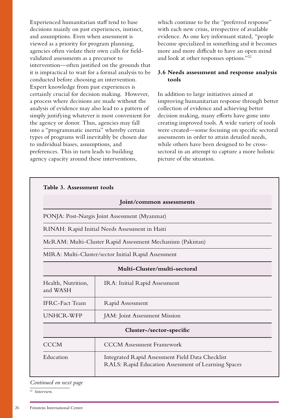<span id="page-25-0"></span>Experienced humanitarian staff tend to base decisions mainly on past experiences, instinct, and assumptions. Even when assessment is viewed as a priority for program planning, agencies often violate their own calls for fieldvalidated assessments as a precursor to intervention—often justified on the grounds that it is impractical to wait for a formal analysis to be conducted before choosing an intervention. Expert knowledge from past experiences is certainly crucial for decision making. However, a process where decisions are made without the analysis of evidence may also lead to a pattern of simply justifying whatever is most convenient for the agency or donor. Thus, agencies may fall into a "programmatic inertia" whereby certain types of programs will inevitably be chosen due to individual biases, assumptions, and preferences. This in turn leads to building agency capacity around these interventions,

which continue to be the "preferred response" with each new crisis, irrespective of available evidence. As one key informant stated, "people become specialized in something and it becomes more and more difficult to have an open mind and look at other responses options."22

## **3.6 Needs assessment and response analysis tools**

In addition to large initiatives aimed at improving humanitarian response through better collection of evidence and achieving better decision making, many efforts have gone into creating improved tools. A wide variety of tools were created—some focusing on specific sectoral assessments in order to attain detailed needs, while others have been designed to be crosssectoral in an attempt to capture a more holistic picture of the situation.

|                                                                                     | Table 3. Assessment tools                                                                               |  |  |                                |
|-------------------------------------------------------------------------------------|---------------------------------------------------------------------------------------------------------|--|--|--------------------------------|
|                                                                                     | Joint/common assessments                                                                                |  |  |                                |
|                                                                                     | PONJA: Post-Nargis Joint Assessment (Myanmar)                                                           |  |  |                                |
| RINAH: Rapid Initial Needs Assessment in Haiti                                      |                                                                                                         |  |  |                                |
|                                                                                     | McRAM: Multi-Cluster Rapid Assessment Mechanism (Pakistan)                                              |  |  |                                |
| MIRA: Multi-Cluster/sector Initial Rapid Assessment<br>Multi-Cluster/multi-sectoral |                                                                                                         |  |  |                                |
|                                                                                     |                                                                                                         |  |  | Health, Nutrition,<br>and WASH |
| <b>IFRC-Fact Team</b>                                                               | Rapid Assessment                                                                                        |  |  |                                |
| UNHCR-WFP                                                                           | JAM: Joint Assessment Mission                                                                           |  |  |                                |
|                                                                                     | Cluster-/sector-specific                                                                                |  |  |                                |
| <b>CCCM</b>                                                                         | <b>CCCM</b> Assessment Framework                                                                        |  |  |                                |
| Education                                                                           | Integrated Rapid Assessment Field Data Checklist<br>RALS: Rapid Education Assessment of Learning Spaces |  |  |                                |

#### *Continued on next page*

 $22$  Interview.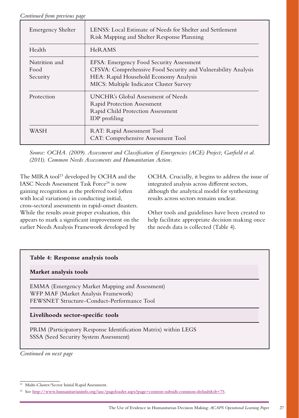*Continued from previous page*

| <b>Emergency Shelter</b>          | LENSS: Local Estimate of Needs for Shelter and Settlement<br>Risk Mapping and Shelter Response Planning                                                                                       |
|-----------------------------------|-----------------------------------------------------------------------------------------------------------------------------------------------------------------------------------------------|
| Health                            | HeR AMS                                                                                                                                                                                       |
| Nutrition and<br>Food<br>Security | EFSA: Emergency Food Security Assessment<br>CFSVA: Comprehensive Food Security and Vulnerability Analysis<br>HEA: Rapid Household Economy Analysis<br>MICS: Multiple Indicator Cluster Survey |
| Protection                        | UNCHR's Global Assessment of Needs<br><b>Rapid Protection Assessment</b><br>Rapid Child Protection Assessment<br>IDP profiling                                                                |
| WASH                              | RAT: Rapid Assessment Tool<br>CAT: Comprehensive Assessment Tool                                                                                                                              |

*Source: OCHA. (2009). Assessment and Classification of Emergencies (ACE) Project; Garfield et al. (2011). Common Needs Assessments and Humanitarian Action.*

The MIRA tool<sup>23</sup> developed by OCHA and the IASC Needs Assessment Task Force<sup>24</sup> is now gaining recognition as the preferred tool (often with local variations) in conducting initial, cross-sectoral assessments in rapid-onset disasters. While the results await proper evaluation, this appears to mark a significant improvement on the earlier Needs Analysis Framework developed by

OCHA. Crucially, it begins to address the issue of integrated analysis across different sectors, although the analytical model for synthesizing results across sectors remains unclear.

Other tools and guidelines have been created to help facilitate appropriate decision making once the needs data is collected (Table 4).

# **Table 4: Response analysis tools**

# **Market analysis tools**

EMMA (Emergency Market Mapping and Assessment) WFP MAF (Market Analysis Framework) FEWSNET Structure-Conduct-Performance Tool

# **Livelihoods sector-specific tools**

PRIM (Participatory Response Identification Matrix) within LEGS SSSA (Seed Security System Assessment)

*Continued on next page*

<sup>23</sup> Multi-Cluster/Sector Initial Rapid Assessment.

<sup>24</sup> See **<http://www.humanitarianinfo.org/iasc/pageloader.aspx?page=content-subsidi-common-default&sb=75>**.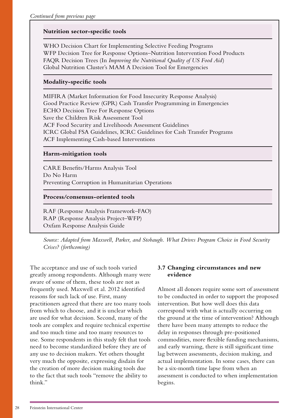# <span id="page-27-0"></span>**Nutrition sector-specific tools**

WHO Decision Chart for Implementing Selective Feeding Programs WFP Decision Tree for Response Options–Nutrition Intervention Food Products FAQR Decision Trees (In *Improving the Nutritional Quality of US Food Aid*) Global Nutrition Cluster's MAM A Decision Tool for Emergencies

## **Modality-specific tools**

MIFIRA (Market Information for Food Insecurity Response Analysis) Good Practice Review (GPR) Cash Transfer Programming in Emergencies ECHO Decision Tree For Response Options Save the Children Risk Assessment Tool ACF Food Security and Livelihoods Assessment Guidelines ICRC Global FSA Guidelines, ICRC Guidelines for Cash Transfer Programs ACF Implementing Cash-based Interventions

## **Harm-mitigation tools**

CARE Benefits/Harms Analysis Tool Do No Harm Preventing Corruption in Humanitarian Operations

## **Process/consensus-oriented tools**

RAF (Response Analysis Framework–FAO) RAP (Response Analysis Project–WFP) Oxfam Response Analysis Guide

*Source: Adapted from Maxwell, Parker, and Stobaugh. What Drives Program Choice in Food Security Crises? (forthcoming)*

The acceptance and use of such tools varied greatly among respondents. Although many were aware of some of them, these tools are not as frequently used. Maxwell et al. 2012 identified reasons for such lack of use. First, many practitioners agreed that there are too many tools from which to choose, and it is unclear which are used for what decision. Second, many of the tools are complex and require technical expertise and too much time and too many resources to use. Some respondents in this study felt that tools need to become standardized before they are of any use to decision makers. Yet others thought very much the opposite, expressing disdain for the creation of more decision making tools due to the fact that such tools "remove the ability to think."

# **3.7 Changing circumstances and new evidence**

Almost all donors require some sort of assessment to be conducted in order to support the proposed intervention. But how well does this data correspond with what is actually occurring on the ground at the time of intervention? Although there have been many attempts to reduce the delay in responses through pre-positioned commodities, more flexible funding mechanisms, and early warning, there is still significant time lag between assessments, decision making, and actual implementation. In some cases, there can be a six-month time lapse from when an assessment is conducted to when implementation begins.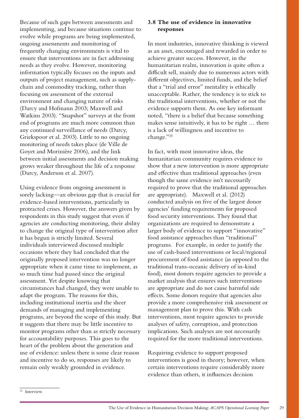<span id="page-28-0"></span>Because of such gaps between assessments and implementing, and because situations continue to evolve while programs are being implemented, ongoing assessments and monitoring of frequently changing environments is vital to ensure that interventions are in fact addressing needs as they evolve. However, monitoring information typically focuses on the inputs and outputs of project management, such as supplychain and commodity tracking, rather than focusing on assessment of the external environment and changing nature of risks (Darcy and Hofmann 2003; Maxwell and Watkins 2003). "Snapshot" surveys at the front end of programs are much more common than any continued surveillance of needs (Darcy, Griekspoor et al. 2003). Little to no ongoing monitoring of needs takes place (de Ville de Goyet and Morinière 2006), and the link between initial assessments and decision making grows weaker throughout the life of a response (Darcy, Anderson et al. 2007).

Using evidence from ongoing assessment is sorely lacking—an obvious gap that is crucial for evidence-based interventions, particularly in protracted crises. However, the answers given by respondents in this study suggest that even if agencies are conducting monitoring, their ability to change the original type of intervention after it has begun is strictly limited. Several individuals interviewed discussed multiple occasions where they had concluded that the originally proposed intervention was no longer appropriate when it came time to implement, as so much time had passed since the original assessment. Yet despite knowing that circumstances had changed, they were unable to adapt the program. The reasons for this, including institutional inertia and the sheer demands of managing and implementing programs, are beyond the scope of this study. But it suggests that there may be little incentive to monitor programs other than as strictly necessary for accountability purposes. This goes to the heart of the problem about the generation and use of evidence: unless there is some clear reason and incentive to do so, responses are likely to remain only weakly grounded in evidence.

## **3.8 The use of evidence in innovative responses**

In most industries, innovative thinking is viewed as an asset, encouraged and rewarded in order to achieve greater success. However, in the humanitarian realm, innovation is quite often a difficult sell, mainly due to numerous actors with different objectives, limited funds, and the belief that a "trial and error" mentality is ethically unacceptable. Rather, the tendency is to stick to the traditional interventions, whether or not the evidence supports them. As one key informant noted, "there is a belief that because something makes sense intuitively, it has to be right … there is a lack of willingness and incentive to change."25

In fact, with most innovative ideas, the humanitarian community requires evidence to show that a new intervention is more appropriate and effective than traditional approaches (even though the same evidence isn't necessarily required to prove that the traditional approaches are appropriate). Maxwell et al. (2012) conducted analysis on five of the largest donor agencies' funding requirements for proposed food security interventions. They found that organizations are required to demonstrate a larger body of evidence to support "innovative" food assistance approaches than "traditional" programs. For example, in order to justify the use of cash-based interventions or local/regional procurement of food assistance (as opposed to the traditional trans-oceanic delivery of in-kind food), most donors require agencies to provide a market analysis that ensures such interventions are appropriate and do not cause harmful side effects. Some donors require that agencies also provide a more comprehensive risk assessment or management plan to prove this. With cash interventions, most require agencies to provide analyses of safety, corruption, and protection implications. Such analyses are not necessarily required for the more traditional interventions.

Requiring evidence to support proposed interventions is good in theory; however, when certain interventions require considerably more evidence than others, it influences decision

<sup>&</sup>lt;sup>25</sup> Interview.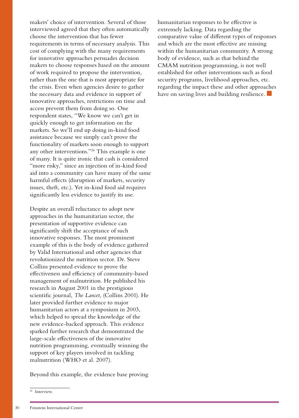makers' choice of intervention. Several of those interviewed agreed that they often automatically choose the intervention that has fewer requirements in terms of necessary analysis. This cost of complying with the many requirements for innovative approaches persuades decision makers to choose responses based on the amount of work required to propose the intervention, rather than the one that is most appropriate for the crisis. Even when agencies desire to gather the necessary data and evidence in support of innovative approaches, restrictions on time and access prevent them from doing so. One respondent states, "We know we can't get in quickly enough to get information on the markets. So we'll end up doing in-kind food assistance because we simply can't prove the functionality of markets soon enough to support any other interventions."26 This example is one of many. It is quite ironic that cash is considered "more risky," since an injection of in-kind food aid into a community can have many of the same harmful effects (disruption of markets, security issues, theft, etc.). Yet in-kind food aid requires significantly less evidence to justify its use.

Despite an overall reluctance to adopt new approaches in the humanitarian sector, the presentation of supportive evidence can significantly shift the acceptance of such innovative responses. The most prominent example of this is the body of evidence gathered by Valid International and other agencies that revolutionized the nutrition sector. Dr. Steve Collins presented evidence to prove the effectiveness and efficiency of community-based management of malnutrition. He published his research in August 2001 in the prestigious scientific journal, *The Lancet*, (Collins 2001). He later provided further evidence to major humanitarian actors at a symposium in 2003, which helped to spread the knowledge of the new evidence-backed approach. This evidence sparked further research that demonstrated the large-scale effectiveness of the innovative nutrition programming, eventually winning the support of key players involved in tackling malnutrition (WHO et al. 2007).

Beyond this example, the evidence base proving

humanitarian responses to be effective is extremely lacking. Data regarding the comparative value of different types of responses and which are the most effective are missing within the humanitarian community. A strong body of evidence, such as that behind the CMAM nutrition programming, is not well established for other interventions such as food security programs, livelihood approaches, etc. regarding the impact these and other approaches have on saving lives and building resilience.

<sup>&</sup>lt;sup>26</sup> Interview.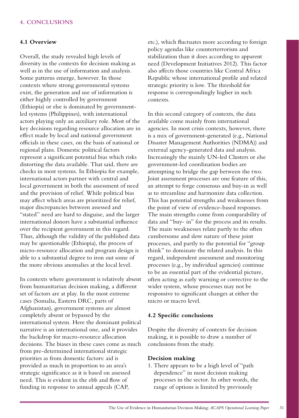## <span id="page-30-0"></span>**4. CONCLUSIONS**

#### **4.1 Overview**

Overall, the study revealed high levels of diversity in the contexts for decision making as well as in the use of information and analysis. Some patterns emerge, however. In those contexts where strong governmental systems exist, the generation and use of information is either highly controlled by government (Ethiopia) or else is dominated by governmentled systems (Philippines), with international actors playing only an auxiliary role. Most of the key decisions regarding resource allocation are in effect made by local and national government officials in these cases, on the basis of national or regional plans. Domestic political factors represent a significant potential bias which risks distorting the data available. That said, there are checks in most systems. In Ethiopia for example, international actors partner with central and local government in both the assessment of need and the provision of relief. While political bias may affect which areas are prioritized for relief, major discrepancies between assessed and "stated" need are hard to disguise, and the larger international donors have a substantial influence over the recipient government in this regard. Thus, although the validity of the published data may be questionable (Ethiopia), the process of micro-resource allocation and program design is able to a substantial degree to iron out some of the more obvious anomalies at the local level.

In contexts where government is relatively absent from humanitarian decision making, a different set of factors are at play. In the most extreme cases (Somalia, Eastern DRC, parts of Afghanistan), government systems are almost completely absent or bypassed by the international system. Here the dominant political narrative is an international one, and it provides the backdrop for macro-resource allocation decisions. The biases in these cases come as much from pre-determined international strategic priorities as from domestic factors: aid is provided as much in proportion to an area's strategic significance as it is based on assessed need. This is evident in the ebb and flow of funding in response to annual appeals (CAP,

etc.), which fluctuates more according to foreign policy agendas like counterterrorism and stabilization than it does according to apparent need (Development Initiatives 2012). This factor also affects those countries like Central Africa Republic whose international profile and related strategic priority is low. The threshold for response is correspondingly higher in such contexts.

In this second category of contexts, the data available come mainly from international agencies. In most crisis contexts, however, there is a mix of government-generated (e.g., National Disaster Management Authorities (NDMA)) and external agency-generated data and analysis. Increasingly the mainly UN-led Clusters or else government-led coordination bodies are attempting to bridge the gap between the two. Joint assessment processes are one feature of this, an attempt to forge consensus and buy-in as well as to streamline and harmonize data collection. This has potential strengths and weaknesses from the point of view of evidence-based responses. The main strengths come from comparability of data and "buy- in" for the process and its results. The main weaknesses relate partly to the often cumbersome and slow nature of these joint processes, and partly to the potential for "group think" to dominate the related analysis. In this regard, independent assessment and monitoring processes (e.g., by individual agencies) continue to be an essential part of the evidential picture, often acting as early warning or corrective to the wider system, whose processes may not be responsive to significant changes at either the micro or macro level.

## **4.2 Specific conclusions**

Despite the diversity of contexts for decision making, it is possible to draw a number of conclusions from the study.

#### **Decision making**

1. There appears to be a high level of "path dependence" in most decision making processes in the sector. In other words, the range of options is limited by previously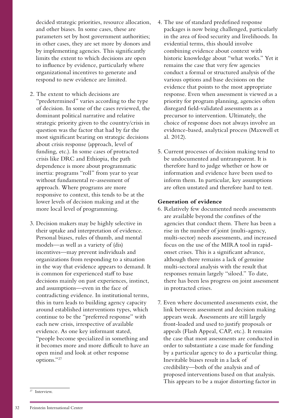decided strategic priorities, resource allocation, and other biases. In some cases, these are parameters set by host government authorities; in other cases, they are set more by donors and by implementing agencies. This significantly limits the extent to which decisions are open to influence by evidence, particularly where organizational incentives to generate and respond to new evidence are limited.

- 2. The extent to which decisions are "predetermined" varies according to the type of decision. In some of the cases reviewed, the dominant political narrative and relative strategic priority given to the country/crisis in question was the factor that had by far the most significant bearing on strategic decisions about crisis response (approach, level of funding, etc.). In some cases of protracted crisis like DRC and Ethiopia, the path dependence is more about programmatic inertia: programs "roll" from year to year without fundamental re-assessment of approach. Where programs are more responsive to context, this tends to be at the lower levels of decision making and at the more local level of programming.
- 3. Decision makers may be highly selective in their uptake and interpretation of evidence. Personal biases, rules of thumb, and mental models—as well as a variety of (dis) incentives—may prevent individuals and organizations from responding to a situation in the way that evidence appears to demand. It is common for experienced staff to base decisions mainly on past experiences, instinct, and assumptions—even in the face of contradicting evidence. In institutional terms, this in turn leads to building agency capacity around established interventions types, which continue to be the "preferred response" with each new crisis, irrespective of available evidence. As one key informant stated, "people become specialized in something and it becomes more and more difficult to have an open mind and look at other response options."27
- 4. The use of standard predefined response packages is now being challenged, particularly in the area of food security and livelihoods. In evidential terms, this should involve combining evidence about context with historic knowledge about "what works." Yet it remains the case that very few agencies conduct a formal or structured analysis of the various options and base decisions on the evidence that points to the most appropriate response. Even when assessment is viewed as a priority for program planning, agencies often disregard field-validated assessments as a precursor to intervention. Ultimately, the choice of response does not always involve an evidence-based, analytical process (Maxwell et al. 2012).
- 5. Current processes of decision making tend to be undocumented and untransparent. It is therefore hard to judge whether or how or information and evidence have been used to inform them. In particular, key assumptions are often unstated and therefore hard to test.

## **Generation of evidence**

- 6. Relatively few documented needs assessments are available beyond the confines of the agencies that conduct them. There has been a rise in the number of joint (multi-agency, multi-sector) needs assessments, and increased focus on the use of the MIRA tool in rapidonset crises. This is a significant advance, although there remains a lack of genuine multi-sectoral analysis with the result that responses remain largely "siloed." To date, there has been less progress on joint assessment in protracted crises.
- 7. Even where documented assessments exist, the link between assessment and decision making appears weak. Assessments are still largely front-loaded and used to justify proposals or appeals (Flash Appeal, CAP, etc.). It remains the case that most assessments are conducted in order to substantiate a case made for funding by a particular agency to do a particular thing. Inevitable biases result in a lack of credibility—both of the analysis and of proposed interventions based on that analysis. This appears to be a major distorting factor in

 $27$  Interview.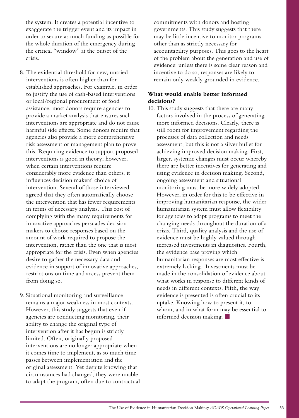the system. It creates a potential incentive to exaggerate the trigger event and its impact in order to secure as much funding as possible for the whole duration of the emergency during the critical "window" at the outset of the crisis.

- 8. The evidential threshold for new, untried interventions is often higher than for established approaches. For example, in order to justify the use of cash-based interventions or local/regional procurement of food assistance, most donors require agencies to provide a market analysis that ensures such interventions are appropriate and do not cause harmful side effects. Some donors require that agencies also provide a more comprehensive risk assessment or management plan to prove this. Requiring evidence to support proposed interventions is good in theory; however, when certain interventions require considerably more evidence than others, it influences decision makers' choice of intervention. Several of those interviewed agreed that they often automatically choose the intervention that has fewer requirements in terms of necessary analysis. This cost of complying with the many requirements for innovative approaches persuades decision makers to choose responses based on the amount of work required to propose the intervention, rather than the one that is most appropriate for the crisis. Even when agencies desire to gather the necessary data and evidence in support of innovative approaches, restrictions on time and access prevent them from doing so.
- 9. Situational monitoring and surveillance remains a major weakness in most contexts. However, this study suggests that even if agencies are conducting monitoring, their ability to change the original type of intervention after it has begun is strictly limited. Often, originally proposed interventions are no longer appropriate when it comes time to implement, as so much time passes between implementation and the original assessment. Yet despite knowing that circumstances had changed, they were unable to adapt the program, often due to contractual

commitments with donors and hosting governments. This study suggests that there may be little incentive to monitor programs other than as strictly necessary for accountability purposes. This goes to the heart of the problem about the generation and use of evidence: unless there is some clear reason and incentive to do so, responses are likely to remain only weakly grounded in evidence.

# **What would enable better informed decisions?**

10. This study suggests that there are many factors involved in the process of generating more informed decisions. Clearly, there is still room for improvement regarding the processes of data collection and needs assessment, but this is not a silver bullet for achieving improved decision making. First, larger, systemic changes must occur whereby there are better incentives for generating and using evidence in decision making. Second, ongoing assessment and situational monitoring must be more widely adopted. However, in order for this to be effective in improving humanitarian response, the wider humanitarian system must allow flexibility for agencies to adapt programs to meet the changing needs throughout the duration of a crisis. Third, quality analysis and the use of evidence must be highly valued through increased investments in diagnostics. Fourth, the evidence base proving which humanitarian responses are most effective is extremely lacking. Investments must be made in the consolidation of evidence about what works in response to different kinds of needs in different contexts. Fifth, the way evidence is presented is often crucial to its uptake. Knowing how to present it, to whom, and in what form may be essential to informed decision making.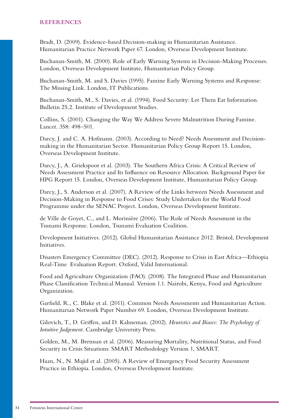<span id="page-33-0"></span>Bradt, D. (2009). Evidence-based Decision-making in Humanitarian Assistance. Humanitarian Practice Network Paper 67. London, Overseas Development Institute.

Buchanan-Smith, M. (2000). Role of Early Warning Systems in Decision-Making Processes. London, Overseas Development Institute, Humanitarian Policy Group.

Buchanan-Smith, M. and S. Davies (1995). Famine Early Warning Systems and Response: The Missing Link. London, IT Publications.

Buchanan-Smith, M., S. Davies, et al. (1994). Food Security: Let Them Eat Information. Bulletin 25.2. Institute of Development Studies.

Collins, S. (2001). Changing the Way We Address Severe Malnutrition During Famine. Lancet. 358: 498–501.

Darcy, J. and C. A. Hofmann. (2003). According to Need? Needs Assessment and Decisionmaking in the Humanitarian Sector. Humanitarian Policy Group Report 15. London, Overseas Development Institute.

Darcy, J., A. Griekspoor et al. (2003). The Southern Africa Crisis: A Critical Review of Needs Assessment Practice and Its Influence on Resource Allocation. Background Paper for HPG Report 15. London, Overseas Development Institute, Humanitarian Policy Group.

Darcy, J., S. Anderson et al. (2007). A Review of the Links between Needs Assessment and Decision-Making in Response to Food Crises: Study Undertaken for the World Food Programme under the SENAC Project. London, Overseas Development Institute.

de Ville de Goyet, C., and L. Morinière (2006). The Role of Needs Assessment in the Tsunami Response. London, Tsunami Evaluation Coalition.

Development Initiatives. (2012). Global Humanitarian Assistance 2012. Bristol, Development Initiatives.

Disasters Emergency Committee (DEC). (2012). Response to Crisis in East Africa—Ethiopia Real-Time Evaluation Report. Oxford, Valid International.

Food and Agriculture Organization (FAO). (2008). The Integrated Phase and Humanitarian Phase Classification Technical Manual. Version 1.1. Nairobi, Kenya, Food and Agriculture Organization.

Garfield, R., C. Blake et al. (2011). Common Needs Assessments and Humanitarian Action. Humanitarian Network Paper Number 69. London, Overseas Development Institute.

Gilovich, T., D. Griffen, and D. Kahneman. (2002). *Heuristics and Biases: The Psychology of Intuitive Judgement*. Cambridge University Press.

Golden, M., M. Brennan et al. (2006). Measuring Mortality, Nutritional Status, and Food Security in Crisis Situations: SMART Methodology Version 1, SMART.

Haan, N., N. Majid et al. (2005). A Review of Emergency Food Security Assessment Practice in Ethiopia. London, Overseas Development Institute.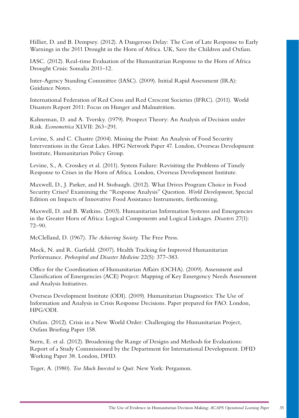Hillier, D. and B. Dempsey. (2012). A Dangerous Delay: The Cost of Late Response to Early Warnings in the 2011 Drought in the Horn of Africa. UK, Save the Children and Oxfam.

IASC. (2012). Real-time Evaluation of the Humanitarian Response to the Horn of Africa Drought Crisis: Somalia 2011–12.

Inter-Agency Standing Committee (IASC). (2009). Initial Rapid Assessment (IRA): Guidance Notes.

International Federation of Red Cross and Red Crescent Societies (IFRC). (2011). World Disasters Report 2011: Focus on Hunger and Malnutrition.

Kahneman, D. and A. Tversky. (1979). Prospect Theory: An Analysis of Decision under Risk. *Econometrica* XLVII: 263–291.

Levine, S. and C. Chastre (2004). Missing the Point: An Analysis of Food Security Interventions in the Great Lakes. HPG Network Paper 47. London, Overseas Development Institute, Humanitarian Policy Group.

Levine, S., A. Crosskey et al. (2011). System Failure: Revisiting the Problems of Timely Response to Crises in the Horn of Africa. London, Overseas Development Institute.

Maxwell, D., J. Parker, and H. Stobaugh. (2012). What Drives Program Choice in Food Security Crises? Examining the "Response Analysis" Question. *World Development*, Special Edition on Impacts of Innovative Food Assistance Instruments, forthcoming.

Maxwell, D. and B. Watkins. (2003). Humanitarian Information Systems and Emergencies in the Greater Horn of Africa: Logical Components and Logical Linkages. *Disasters* 27(1): 72–90.

McClelland, D. (1967). *The Achieving Society*. The Free Press.

Mock, N. and R. Garfield. (2007). Health Tracking for Improved Humanitarian Performance. *Prehospital and Disaster Medicine* 22(5): 377–383.

Office for the Coordination of Humanitarian Affairs (OCHA). (2009). Assessment and Classification of Emergencies (ACE) Project: Mapping of Key Emergency Needs Assessment and Analysis Initiatives.

Overseas Development Institute (ODI). (2009). Humanitarian Diagnostics: The Use of Information and Analysis in Crisis Response Decisions. Paper prepared for FAO. London, HPG/ODI.

Oxfam. (2012). Crisis in a New World Order: Challenging the Humanitarian Project, Oxfam Briefing Paper 158.

Stern, E. et al. (2012). Broadening the Range of Designs and Methods for Evaluations: Report of a Study Commissioned by the Department for International Development. DFID Working Paper 38. London, DFID.

Teger, A. (1980). *Too Much Invested to Quit*. New York: Pergamon.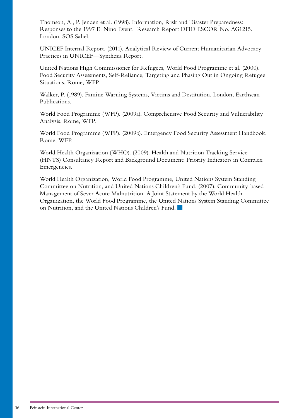Thomson, A., P. Jenden et al. (1998). Information, Risk and Disaster Preparedness: Responses to the 1997 El Nino Event. Research Report DFID ESCOR No. AG1215. London, SOS Sahel.

UNICEF Internal Report. (2011). Analytical Review of Current Humanitarian Advocacy Practices in UNICEF—Synthesis Report.

United Nations High Commissioner for Refugees, World Food Programme et al. (2000). Food Security Assessments, Self-Reliance, Targeting and Phasing Out in Ongoing Refugee Situations. Rome, WFP.

Walker, P. (1989). Famine Warning Systems, Victims and Destitution. London, Earthscan Publications.

World Food Programme (WFP). (2009a). Comprehensive Food Security and Vulnerability Analysis. Rome, WFP.

World Food Programme (WFP). (2009b). Emergency Food Security Assessment Handbook. Rome, WFP.

World Health Organization (WHO). (2009). Health and Nutrition Tracking Service (HNTS) Consultancy Report and Background Document: Priority Indicators in Complex Emergencies.

World Health Organization, World Food Programme, United Nations System Standing Committee on Nutrition, and United Nations Children's Fund. (2007). Community-based Management of Sever Acute Malnutrition: A Joint Statement by the World Health Organization, the World Food Programme, the United Nations System Standing Committee on Nutrition, and the United Nations Children's Fund.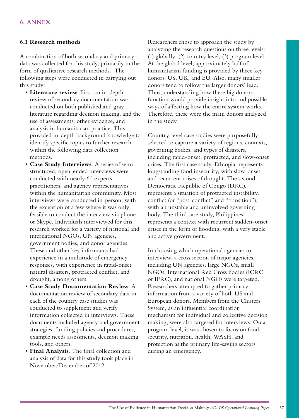# <span id="page-36-0"></span>**6.1 Research methods**

A combination of both secondary and primary data was collected for this study, primarily in the form of qualitative research methods. The following steps were conducted in carrying out this study:

- • **Literature review**. First, an in-depth review of secondary documentation was conducted on both published and gray literature regarding decision making, and the use of assessments, other evidence, and analysis in humanitarian practice. This provided in-depth background knowledge to identify specific topics to further research within the following data collection methods.
- • **Case Study Interviews**. A series of semistructured, open-ended interviews were conducted with nearly 60 experts, practitioners, and agency representatives within the humanitarian community. Most interviews were conducted in-person, with the exception of a few where it was only feasible to conduct the interview via phone or Skype. Individuals interviewed for this research worked for a variety of national and international NGOs, UN agencies, government bodies, and donor agencies. These and other key informants had experience in a multitude of emergency responses, with experience in rapid-onset natural disasters, protracted conflict, and drought, among others.
- • **Case Study Documentation Review**. A documentation review of secondary data in each of the country case studies was conducted to supplement and verify information collected in interviews. These documents included agency and government strategies, funding policies and procedures, example needs assessments, decision making tools, and others.
- • **Final Analysis**. The final collection and analysis of data for this study took place in November/December of 2012.

Researchers chose to approach the study by analyzing the research questions on three levels: (1) globally; (2) country level; (3) program level. At the global level, approximately half of humanitarian funding is provided by three key donors: US, UK, and EU. Also, many smaller donors tend to follow the larger donors' lead. Thus, understanding how these big donors function would provide insight into and possible ways of affecting how the entire system works. Therefore, these were the main donors analyzed in the study.

Country-level case studies were purposefully selected to capture a variety of regions, contexts, governing bodies, and types of disasters, including rapid-onset, protracted, and slow-onset crises. The first case study, Ethiopia, represents longstanding food insecurity, with slow-onset and recurrent crises of drought. The second, Democratic Republic of Congo (DRC), represents a situation of protracted instability, conflict (or "post-conflict" and "transition"), with an unstable and uninvolved governing body. The third case study, Philippines, represents a context with recurrent sudden-onset crises in the form of flooding, with a very stable and active government.

In choosing which operational agencies to interview, a cross section of major agencies, including UN agencies, large NGOs, small NGOs, International Red Cross bodies (ICRC or IFRC), and national NGOs were targeted. Researchers attempted to gather primary information from a variety of both US and European donors. Members from the Clusters System, as an influential coordination mechanism for individual and collective decision making, were also targeted for interviews. On a program level, it was chosen to focus on food security, nutrition, health, WASH, and protection as the primary life-saving sectors during an emergency.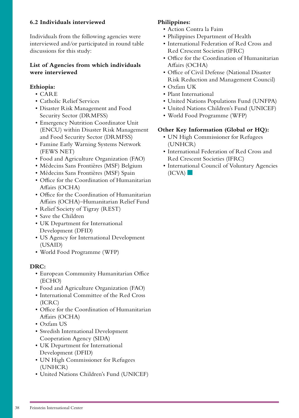# <span id="page-37-0"></span>**6.2 Individuals interviewed**

Individuals from the following agencies were interviewed and/or participated in round table discussions for this study:

# **List of Agencies from which individuals were interviewed**

# **Ethiopia:**

- • CARE
- Catholic Relief Services
- Disaster Risk Management and Food Security Sector (DRMFSS)
- • Emergency Nutrition Coordinator Unit (ENCU) within Disaster Risk Management and Food Security Sector (DRMFSS)
- • Famine Early Warning Systems Network (FEWS NET)
- • Food and Agriculture Organization (FAO)
- • Médecins Sans Frontières (MSF) Belgium
- • Médecins Sans Frontières (MSF) Spain
- • Office for the Coordination of Humanitarian Affairs (OCHA)
- • Office for the Coordination of Humanitarian Affairs (OCHA)–Humanitarian Relief Fund
- Relief Society of Tigray (REST)
- • Save the Children
- • UK Department for International Development (DFID)
- • US Agency for International Development (USAID)
- • World Food Programme (WFP)

## **DRC:**

- • European Community Humanitarian Office (ECHO)
- • Food and Agriculture Organization (FAO)
- • International Committee of the Red Cross (ICRC)
- • Office for the Coordination of Humanitarian Affairs (OCHA)
- • Oxfam US
- • Swedish International Development Cooperation Agency (SIDA)
- UK Department for International Development (DFID)
- • UN High Commissioner for Refugees (UNHCR)
- • United Nations Children's Fund (UNICEF)

# **Philippines:**

- • Action Contra la Faim
- Philippines Department of Health
- International Federation of Red Cross and Red Crescent Societies (IFRC)
- • Office for the Coordination of Humanitarian Affairs (OCHA)
- • Office of Civil Defense (National Disaster Risk Reduction and Management Council)
- • Oxfam UK
- • Plant International
- United Nations Populations Fund (UNFPA)
- • United Nations Children's Fund (UNICEF)
- • World Food Programme (WFP)

# **Other Key Information (Global or HQ):**

- UN High Commissioner for Refugees (UNHCR)
- • International Federation of Red Cross and Red Crescent Societies (IFRC)
- • International Council of Voluntary Agencies  $(ICVA)$